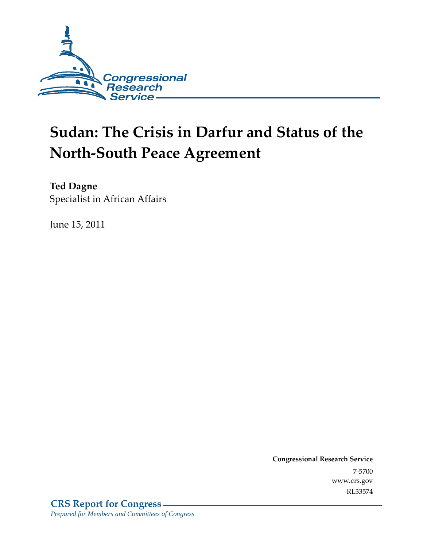

# **Sudan: The Crisis in Darfur and Status of the North-South Peace Agreement**

**Ted Dagne**  Specialist in African Affairs

June 15, 2011

**Congressional Research Service** 7-5700 www.crs.gov RL33574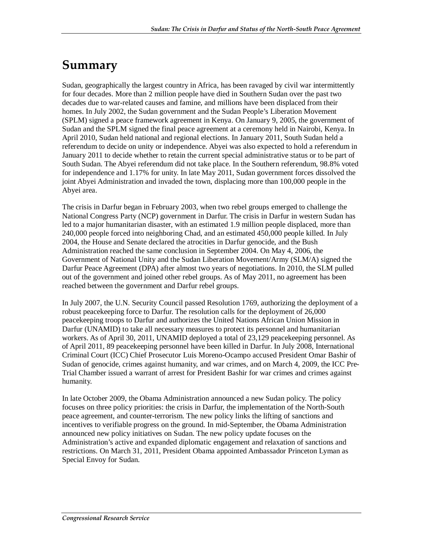## **Summary**

Sudan, geographically the largest country in Africa, has been ravaged by civil war intermittently for four decades. More than 2 million people have died in Southern Sudan over the past two decades due to war-related causes and famine, and millions have been displaced from their homes. In July 2002, the Sudan government and the Sudan People's Liberation Movement (SPLM) signed a peace framework agreement in Kenya. On January 9, 2005, the government of Sudan and the SPLM signed the final peace agreement at a ceremony held in Nairobi, Kenya. In April 2010, Sudan held national and regional elections. In January 2011, South Sudan held a referendum to decide on unity or independence. Abyei was also expected to hold a referendum in January 2011 to decide whether to retain the current special administrative status or to be part of South Sudan. The Abyei referendum did not take place. In the Southern referendum, 98.8% voted for independence and 1.17% for unity. In late May 2011, Sudan government forces dissolved the joint Abyei Administration and invaded the town, displacing more than 100,000 people in the Abyei area.

The crisis in Darfur began in February 2003, when two rebel groups emerged to challenge the National Congress Party (NCP) government in Darfur. The crisis in Darfur in western Sudan has led to a major humanitarian disaster, with an estimated 1.9 million people displaced, more than 240,000 people forced into neighboring Chad, and an estimated 450,000 people killed. In July 2004, the House and Senate declared the atrocities in Darfur genocide, and the Bush Administration reached the same conclusion in September 2004. On May 4, 2006, the Government of National Unity and the Sudan Liberation Movement/Army (SLM/A) signed the Darfur Peace Agreement (DPA) after almost two years of negotiations. In 2010, the SLM pulled out of the government and joined other rebel groups. As of May 2011, no agreement has been reached between the government and Darfur rebel groups.

In July 2007, the U.N. Security Council passed Resolution 1769, authorizing the deployment of a robust peacekeeping force to Darfur. The resolution calls for the deployment of 26,000 peacekeeping troops to Darfur and authorizes the United Nations African Union Mission in Darfur (UNAMID) to take all necessary measures to protect its personnel and humanitarian workers. As of April 30, 2011, UNAMID deployed a total of 23,129 peacekeeping personnel. As of April 2011, 89 peacekeeping personnel have been killed in Darfur. In July 2008, International Criminal Court (ICC) Chief Prosecutor Luis Moreno-Ocampo accused President Omar Bashir of Sudan of genocide, crimes against humanity, and war crimes, and on March 4, 2009, the ICC Pre-Trial Chamber issued a warrant of arrest for President Bashir for war crimes and crimes against humanity.

In late October 2009, the Obama Administration announced a new Sudan policy. The policy focuses on three policy priorities: the crisis in Darfur, the implementation of the North-South peace agreement, and counter-terrorism. The new policy links the lifting of sanctions and incentives to verifiable progress on the ground. In mid-September, the Obama Administration announced new policy initiatives on Sudan. The new policy update focuses on the Administration's active and expanded diplomatic engagement and relaxation of sanctions and restrictions. On March 31, 2011, President Obama appointed Ambassador Princeton Lyman as Special Envoy for Sudan.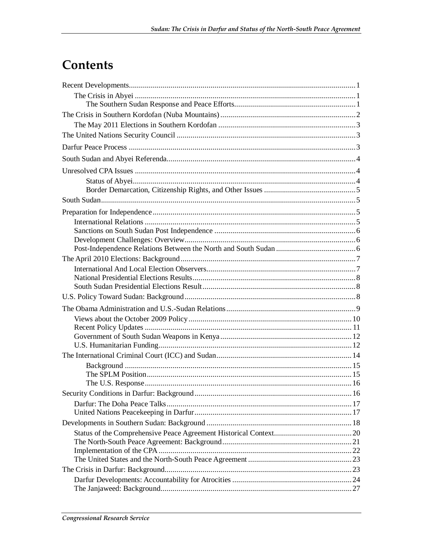## Contents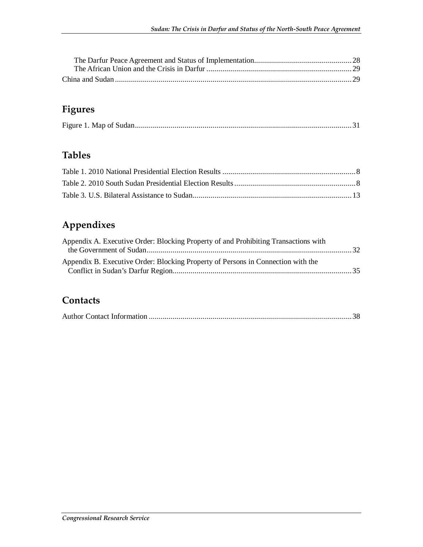### **Figures**

|--|--|

### **Tables**

### **Appendixes**

| Appendix A. Executive Order: Blocking Property of and Prohibiting Transactions with |  |
|-------------------------------------------------------------------------------------|--|
| Appendix B. Executive Order: Blocking Property of Persons in Connection with the    |  |

#### **Contacts**

|--|--|--|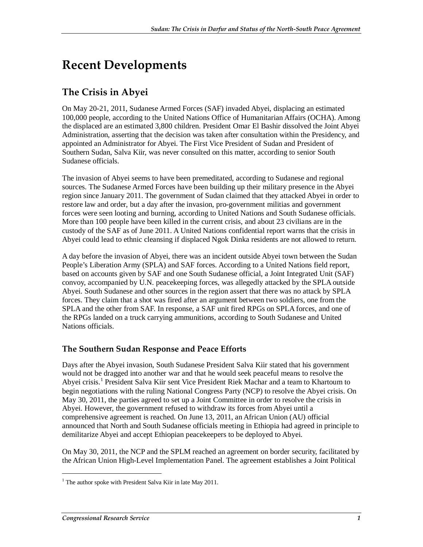## **Recent Developments**

### **The Crisis in Abyei**

On May 20-21, 2011, Sudanese Armed Forces (SAF) invaded Abyei, displacing an estimated 100,000 people, according to the United Nations Office of Humanitarian Affairs (OCHA). Among the displaced are an estimated 3,800 children. President Omar El Bashir dissolved the Joint Abyei Administration, asserting that the decision was taken after consultation within the Presidency, and appointed an Administrator for Abyei. The First Vice President of Sudan and President of Southern Sudan, Salva Kiir, was never consulted on this matter, according to senior South Sudanese officials.

The invasion of Abyei seems to have been premeditated, according to Sudanese and regional sources. The Sudanese Armed Forces have been building up their military presence in the Abyei region since January 2011. The government of Sudan claimed that they attacked Abyei in order to restore law and order, but a day after the invasion, pro-government militias and government forces were seen looting and burning, according to United Nations and South Sudanese officials. More than 100 people have been killed in the current crisis, and about 23 civilians are in the custody of the SAF as of June 2011. A United Nations confidential report warns that the crisis in Abyei could lead to ethnic cleansing if displaced Ngok Dinka residents are not allowed to return.

A day before the invasion of Abyei, there was an incident outside Abyei town between the Sudan People's Liberation Army (SPLA) and SAF forces. According to a United Nations field report, based on accounts given by SAF and one South Sudanese official, a Joint Integrated Unit (SAF) convoy, accompanied by U.N. peacekeeping forces, was allegedly attacked by the SPLA outside Abyei. South Sudanese and other sources in the region assert that there was no attack by SPLA forces. They claim that a shot was fired after an argument between two soldiers, one from the SPLA and the other from SAF. In response, a SAF unit fired RPGs on SPLA forces, and one of the RPGs landed on a truck carrying ammunitions, according to South Sudanese and United Nations officials.

#### **The Southern Sudan Response and Peace Efforts**

Days after the Abyei invasion, South Sudanese President Salva Kiir stated that his government would not be dragged into another war and that he would seek peaceful means to resolve the Abyei crisis.<sup>1</sup> President Salva Kiir sent Vice President Riek Machar and a team to Khartoum to begin negotiations with the ruling National Congress Party (NCP) to resolve the Abyei crisis. On May 30, 2011, the parties agreed to set up a Joint Committee in order to resolve the crisis in Abyei. However, the government refused to withdraw its forces from Abyei until a comprehensive agreement is reached. On June 13, 2011, an African Union (AU) official announced that North and South Sudanese officials meeting in Ethiopia had agreed in principle to demilitarize Abyei and accept Ethiopian peacekeepers to be deployed to Abyei.

On May 30, 2011, the NCP and the SPLM reached an agreement on border security, facilitated by the African Union High-Level Implementation Panel. The agreement establishes a Joint Political

<sup>&</sup>lt;sup>1</sup> The author spoke with President Salva Kiir in late May 2011.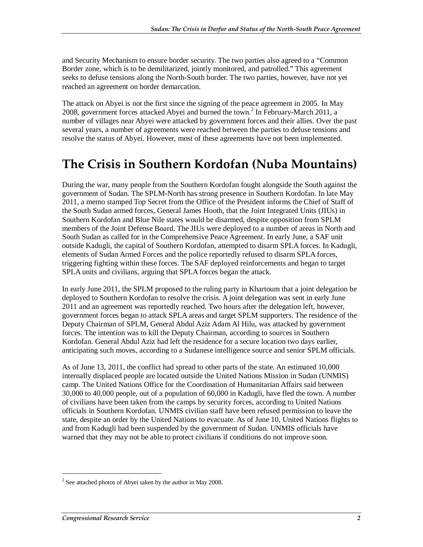and Security Mechanism to ensure border security. The two parties also agreed to a "Common Border zone, which is to be demilitarized, jointly monitored, and patrolled." This agreement seeks to defuse tensions along the North-South border. The two parties, however, have not yet reached an agreement on border demarcation.

The attack on Abyei is not the first since the signing of the peace agreement in 2005. In May 2008, government forces attacked Abyei and burned the town.<sup>2</sup> In February-March 2011, a number of villages near Abyei were attacked by government forces and their allies. Over the past several years, a number of agreements were reached between the parties to defuse tensions and resolve the status of Abyei. However, most of these agreements have not been implemented.

### **The Crisis in Southern Kordofan (Nuba Mountains)**

During the war, many people from the Southern Kordofan fought alongside the South against the government of Sudan. The SPLM-North has strong presence in Southern Kordofan. In late May 2011, a memo stamped Top Secret from the Office of the President informs the Chief of Staff of the South Sudan armed forces, General James Hooth, that the Joint Integrated Units (JIUs) in Southern Kordofan and Blue Nile states would be disarmed, despite opposition from SPLM members of the Joint Defense Board. The JIUs were deployed to a number of areas in North and South Sudan as called for in the Comprehensive Peace Agreement. In early June, a SAF unit outside Kadugli, the capital of Southern Kordofan, attempted to disarm SPLA forces. In Kadugli, elements of Sudan Armed Forces and the police reportedly refused to disarm SPLA forces, triggering fighting within these forces. The SAF deployed reinforcements and began to target SPLA units and civilians, arguing that SPLA forces began the attack.

In early June 2011, the SPLM proposed to the ruling party in Khartoum that a joint delegation be deployed to Southern Kordofan to resolve the crisis. A joint delegation was sent in early June 2011 and an agreement was reportedly reached. Two hours after the delegation left, however, government forces began to attack SPLA areas and target SPLM supporters. The residence of the Deputy Chairman of SPLM, General Abdul Aziz Adam Al Hilu, was attacked by government forces. The intention was to kill the Deputy Chairman, according to sources in Southern Kordofan. General Abdul Aziz had left the residence for a secure location two days earlier, anticipating such moves, according to a Sudanese intelligence source and senior SPLM officials.

As of June 13, 2011, the conflict had spread to other parts of the state. An estimated 10,000 internally displaced people are located outside the United Nations Mission in Sudan (UNMIS) camp. The United Nations Office for the Coordination of Humanitarian Affairs said between 30,000 to 40,000 people, out of a population of 60,000 in Kadugli, have fled the town. A number of civilians have been taken from the camps by security forces, according to United Nations officials in Southern Kordofan. UNMIS civilian staff have been refused permission to leave the state, despite an order by the United Nations to evacuate. As of June 10, United Nations flights to and from Kadugli had been suspended by the government of Sudan. UNMIS officials have warned that they may not be able to protect civilians if conditions do not improve soon.

 $2^2$  See attached photos of Abyei taken by the author in May 2008.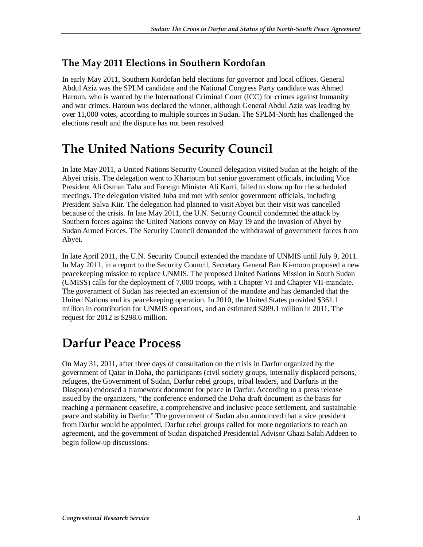#### **The May 2011 Elections in Southern Kordofan**

In early May 2011, Southern Kordofan held elections for governor and local offices. General Abdul Aziz was the SPLM candidate and the National Congress Party candidate was Ahmed Haroun, who is wanted by the International Criminal Court (ICC) for crimes against humanity and war crimes. Haroun was declared the winner, although General Abdul Aziz was leading by over 11,000 votes, according to multiple sources in Sudan. The SPLM-North has challenged the elections result and the dispute has not been resolved.

### **The United Nations Security Council**

In late May 2011, a United Nations Security Council delegation visited Sudan at the height of the Abyei crisis. The delegation went to Khartoum but senior government officials, including Vice President Ali Osman Taha and Foreign Minister Ali Karti, failed to show up for the scheduled meetings. The delegation visited Juba and met with senior government officials, including President Salva Kiir. The delegation had planned to visit Abyei but their visit was cancelled because of the crisis. In late May 2011, the U.N. Security Council condemned the attack by Southern forces against the United Nations convoy on May 19 and the invasion of Abyei by Sudan Armed Forces. The Security Council demanded the withdrawal of government forces from Abyei.

In late April 2011, the U.N. Security Council extended the mandate of UNMIS until July 9, 2011. In May 2011, in a report to the Security Council, Secretary General Ban Ki-moon proposed a new peacekeeping mission to replace UNMIS. The proposed United Nations Mission in South Sudan (UMISS) calls for the deployment of 7,000 troops, with a Chapter VI and Chapter VII-mandate. The government of Sudan has rejected an extension of the mandate and has demanded that the United Nations end its peacekeeping operation. In 2010, the United States provided \$361.1 million in contribution for UNMIS operations, and an estimated \$289.1 million in 2011. The request for 2012 is \$298.6 million.

### **Darfur Peace Process**

On May 31, 2011, after three days of consultation on the crisis in Darfur organized by the government of Qatar in Doha, the participants (civil society groups, internally displaced persons, refugees, the Government of Sudan, Darfur rebel groups, tribal leaders, and Darfuris in the Diaspora) endorsed a framework document for peace in Darfur. According to a press release issued by the organizers, "the conference endorsed the Doha draft document as the basis for reaching a permanent ceasefire, a comprehensive and inclusive peace settlement, and sustainable peace and stability in Darfur." The government of Sudan also announced that a vice president from Darfur would be appointed. Darfur rebel groups called for more negotiations to reach an agreement, and the government of Sudan dispatched Presidential Advisor Ghazi Salah Addeen to begin follow-up discussions.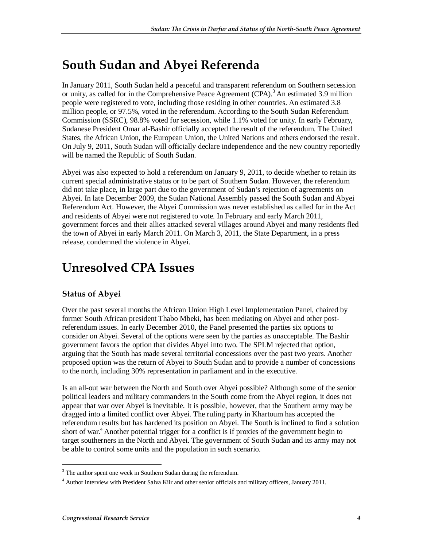## **South Sudan and Abyei Referenda**

In January 2011, South Sudan held a peaceful and transparent referendum on Southern secession or unity, as called for in the Comprehensive Peace Agreement (CPA).<sup>3</sup> An estimated 3.9 million people were registered to vote, including those residing in other countries. An estimated 3.8 million people, or 97.5%, voted in the referendum. According to the South Sudan Referendum Commission (SSRC), 98.8% voted for secession, while 1.1% voted for unity. In early February, Sudanese President Omar al-Bashir officially accepted the result of the referendum. The United States, the African Union, the European Union, the United Nations and others endorsed the result. On July 9, 2011, South Sudan will officially declare independence and the new country reportedly will be named the Republic of South Sudan.

Abyei was also expected to hold a referendum on January 9, 2011, to decide whether to retain its current special administrative status or to be part of Southern Sudan. However, the referendum did not take place, in large part due to the government of Sudan's rejection of agreements on Abyei. In late December 2009, the Sudan National Assembly passed the South Sudan and Abyei Referendum Act. However, the Abyei Commission was never established as called for in the Act and residents of Abyei were not registered to vote. In February and early March 2011, government forces and their allies attacked several villages around Abyei and many residents fled the town of Abyei in early March 2011. On March 3, 2011, the State Department, in a press release, condemned the violence in Abyei.

### **Unresolved CPA Issues**

#### **Status of Abyei**

Over the past several months the African Union High Level Implementation Panel, chaired by former South African president Thabo Mbeki, has been mediating on Abyei and other postreferendum issues. In early December 2010, the Panel presented the parties six options to consider on Abyei. Several of the options were seen by the parties as unacceptable. The Bashir government favors the option that divides Abyei into two. The SPLM rejected that option, arguing that the South has made several territorial concessions over the past two years. Another proposed option was the return of Abyei to South Sudan and to provide a number of concessions to the north, including 30% representation in parliament and in the executive.

Is an all-out war between the North and South over Abyei possible? Although some of the senior political leaders and military commanders in the South come from the Abyei region, it does not appear that war over Abyei is inevitable. It is possible, however, that the Southern army may be dragged into a limited conflict over Abyei. The ruling party in Khartoum has accepted the referendum results but has hardened its position on Abyei. The South is inclined to find a solution short of war.<sup>4</sup> Another potential trigger for a conflict is if proxies of the government begin to target southerners in the North and Abyei. The government of South Sudan and its army may not be able to control some units and the population in such scenario.

 $3$  The author spent one week in Southern Sudan during the referendum.

<sup>&</sup>lt;sup>4</sup> Author interview with President Salva Kiir and other senior officials and military officers, January 2011.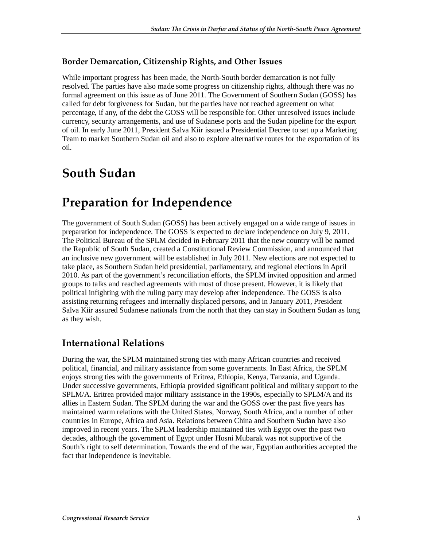#### **Border Demarcation, Citizenship Rights, and Other Issues**

While important progress has been made, the North-South border demarcation is not fully resolved. The parties have also made some progress on citizenship rights, although there was no formal agreement on this issue as of June 2011. The Government of Southern Sudan (GOSS) has called for debt forgiveness for Sudan, but the parties have not reached agreement on what percentage, if any, of the debt the GOSS will be responsible for. Other unresolved issues include currency, security arrangements, and use of Sudanese ports and the Sudan pipeline for the export of oil. In early June 2011, President Salva Kiir issued a Presidential Decree to set up a Marketing Team to market Southern Sudan oil and also to explore alternative routes for the exportation of its oil.

### **South Sudan**

## **Preparation for Independence**

The government of South Sudan (GOSS) has been actively engaged on a wide range of issues in preparation for independence. The GOSS is expected to declare independence on July 9, 2011. The Political Bureau of the SPLM decided in February 2011 that the new country will be named the Republic of South Sudan, created a Constitutional Review Commission, and announced that an inclusive new government will be established in July 2011. New elections are not expected to take place, as Southern Sudan held presidential, parliamentary, and regional elections in April 2010. As part of the government's reconciliation efforts, the SPLM invited opposition and armed groups to talks and reached agreements with most of those present. However, it is likely that political infighting with the ruling party may develop after independence. The GOSS is also assisting returning refugees and internally displaced persons, and in January 2011, President Salva Kiir assured Sudanese nationals from the north that they can stay in Southern Sudan as long as they wish.

### **International Relations**

During the war, the SPLM maintained strong ties with many African countries and received political, financial, and military assistance from some governments. In East Africa, the SPLM enjoys strong ties with the governments of Eritrea, Ethiopia, Kenya, Tanzania, and Uganda. Under successive governments, Ethiopia provided significant political and military support to the SPLM/A. Eritrea provided major military assistance in the 1990s, especially to SPLM/A and its allies in Eastern Sudan. The SPLM during the war and the GOSS over the past five years has maintained warm relations with the United States, Norway, South Africa, and a number of other countries in Europe, Africa and Asia. Relations between China and Southern Sudan have also improved in recent years. The SPLM leadership maintained ties with Egypt over the past two decades, although the government of Egypt under Hosni Mubarak was not supportive of the South's right to self determination. Towards the end of the war, Egyptian authorities accepted the fact that independence is inevitable.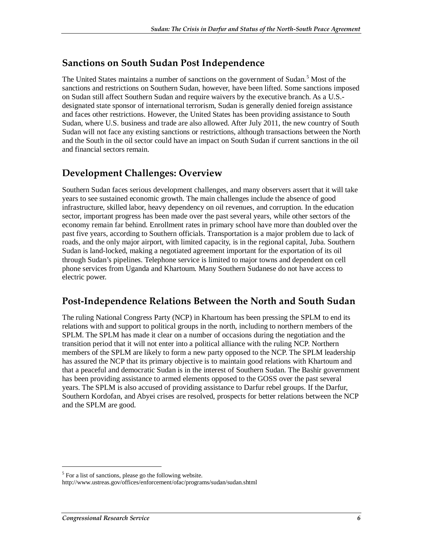#### **Sanctions on South Sudan Post Independence**

The United States maintains a number of sanctions on the government of Sudan.<sup>5</sup> Most of the sanctions and restrictions on Southern Sudan, however, have been lifted. Some sanctions imposed on Sudan still affect Southern Sudan and require waivers by the executive branch. As a U.S. designated state sponsor of international terrorism, Sudan is generally denied foreign assistance and faces other restrictions. However, the United States has been providing assistance to South Sudan, where U.S. business and trade are also allowed. After July 2011, the new country of South Sudan will not face any existing sanctions or restrictions, although transactions between the North and the South in the oil sector could have an impact on South Sudan if current sanctions in the oil and financial sectors remain.

#### **Development Challenges: Overview**

Southern Sudan faces serious development challenges, and many observers assert that it will take years to see sustained economic growth. The main challenges include the absence of good infrastructure, skilled labor, heavy dependency on oil revenues, and corruption. In the education sector, important progress has been made over the past several years, while other sectors of the economy remain far behind. Enrollment rates in primary school have more than doubled over the past five years, according to Southern officials. Transportation is a major problem due to lack of roads, and the only major airport, with limited capacity, is in the regional capital, Juba. Southern Sudan is land-locked, making a negotiated agreement important for the exportation of its oil through Sudan's pipelines. Telephone service is limited to major towns and dependent on cell phone services from Uganda and Khartoum. Many Southern Sudanese do not have access to electric power.

#### **Post-Independence Relations Between the North and South Sudan**

The ruling National Congress Party (NCP) in Khartoum has been pressing the SPLM to end its relations with and support to political groups in the north, including to northern members of the SPLM. The SPLM has made it clear on a number of occasions during the negotiation and the transition period that it will not enter into a political alliance with the ruling NCP. Northern members of the SPLM are likely to form a new party opposed to the NCP. The SPLM leadership has assured the NCP that its primary objective is to maintain good relations with Khartoum and that a peaceful and democratic Sudan is in the interest of Southern Sudan. The Bashir government has been providing assistance to armed elements opposed to the GOSS over the past several years. The SPLM is also accused of providing assistance to Darfur rebel groups. If the Darfur, Southern Kordofan, and Abyei crises are resolved, prospects for better relations between the NCP and the SPLM are good.

 $<sup>5</sup>$  For a list of sanctions, please go the following website.</sup>

http://www.ustreas.gov/offices/enforcement/ofac/programs/sudan/sudan.shtml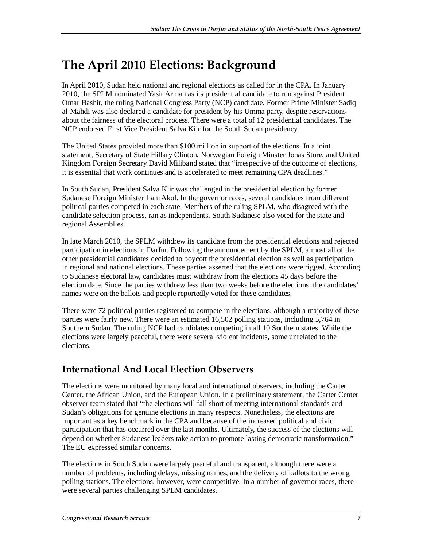## **The April 2010 Elections: Background**

In April 2010, Sudan held national and regional elections as called for in the CPA. In January 2010, the SPLM nominated Yasir Arman as its presidential candidate to run against President Omar Bashir, the ruling National Congress Party (NCP) candidate. Former Prime Minister Sadiq al-Mahdi was also declared a candidate for president by his Umma party, despite reservations about the fairness of the electoral process. There were a total of 12 presidential candidates. The NCP endorsed First Vice President Salva Kiir for the South Sudan presidency.

The United States provided more than \$100 million in support of the elections. In a joint statement, Secretary of State Hillary Clinton, Norwegian Foreign Minster Jonas Store, and United Kingdom Foreign Secretary David Miliband stated that "irrespective of the outcome of elections, it is essential that work continues and is accelerated to meet remaining CPA deadlines."

In South Sudan, President Salva Kiir was challenged in the presidential election by former Sudanese Foreign Minister Lam Akol. In the governor races, several candidates from different political parties competed in each state. Members of the ruling SPLM, who disagreed with the candidate selection process, ran as independents. South Sudanese also voted for the state and regional Assemblies.

In late March 2010, the SPLM withdrew its candidate from the presidential elections and rejected participation in elections in Darfur. Following the announcement by the SPLM, almost all of the other presidential candidates decided to boycott the presidential election as well as participation in regional and national elections. These parties asserted that the elections were rigged. According to Sudanese electoral law, candidates must withdraw from the elections 45 days before the election date. Since the parties withdrew less than two weeks before the elections, the candidates' names were on the ballots and people reportedly voted for these candidates.

There were 72 political parties registered to compete in the elections, although a majority of these parties were fairly new. There were an estimated 16,502 polling stations, including 5,764 in Southern Sudan. The ruling NCP had candidates competing in all 10 Southern states. While the elections were largely peaceful, there were several violent incidents, some unrelated to the elections.

### **International And Local Election Observers**

The elections were monitored by many local and international observers, including the Carter Center, the African Union, and the European Union. In a preliminary statement, the Carter Center observer team stated that "the elections will fall short of meeting international standards and Sudan's obligations for genuine elections in many respects. Nonetheless, the elections are important as a key benchmark in the CPA and because of the increased political and civic participation that has occurred over the last months. Ultimately, the success of the elections will depend on whether Sudanese leaders take action to promote lasting democratic transformation." The EU expressed similar concerns.

The elections in South Sudan were largely peaceful and transparent, although there were a number of problems, including delays, missing names, and the delivery of ballots to the wrong polling stations. The elections, however, were competitive. In a number of governor races, there were several parties challenging SPLM candidates.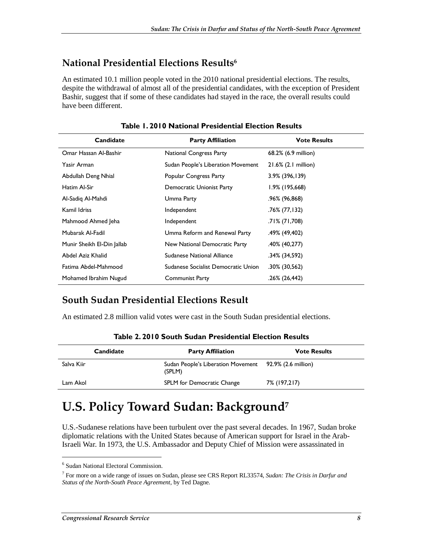#### **National Presidential Elections Results6**

An estimated 10.1 million people voted in the 2010 national presidential elections. The results, despite the withdrawal of almost all of the presidential candidates, with the exception of President Bashir, suggest that if some of these candidates had stayed in the race, the overall results could have been different.

| Candidate                  | <b>Party Affiliation</b>            | <b>Vote Results</b> |  |
|----------------------------|-------------------------------------|---------------------|--|
| Omar Hassan Al-Bashir      | National Congress Party             | 68.2% (6.9 million) |  |
| Yasir Arman                | Sudan People's Liberation Movement  | 21.6% (2.1 million) |  |
| Abdullah Deng Nhial        | Popular Congress Party              | $3.9\%$ (396,139)   |  |
| Hatim Al-Sir               | Democratic Unionist Party           | 1.9% (195,668)      |  |
| Al-Sadig Al-Mahdi          | Umma Party                          | .96% (96,868)       |  |
| Kamil Idriss               | Independent                         | $.76\%$ (77,132)    |  |
| Mahmood Ahmed Jeha         | Independent                         | .71% (71,708)       |  |
| Mubarak Al-Fadil           | Umma Reform and Renewal Party       | .49% (49,402)       |  |
| Munir Sheikh El-Din Jallab | New National Democratic Party       | $.40\%$ (40,277)    |  |
| Abdel Aziz Khalid          | Sudanese National Alliance          | .34% (34,592)       |  |
| Fatima Abdel-Mahmood       | Sudanese Socialist Democratic Union | $.30\%$ (30,562)    |  |
| Mohamed Ibrahim Nugud      | Communist Party                     | .26% (26,442)       |  |

**Table 1. 2010 National Presidential Election Results** 

### **South Sudan Presidential Elections Result**

An estimated 2.8 million valid votes were cast in the South Sudan presidential elections.

| Candidate  | <b>Party Affiliation</b>                                         | <b>Vote Results</b> |  |
|------------|------------------------------------------------------------------|---------------------|--|
| Salva Kiir | Sudan People's Liberation Movement 92.9% (2.6 million)<br>(SPLM) |                     |  |
| Lam Akol   | SPLM for Democratic Change                                       | 7% (197,217)        |  |

**Table 2. 2010 South Sudan Presidential Election Results** 

### **U.S. Policy Toward Sudan: Background7**

U.S.-Sudanese relations have been turbulent over the past several decades. In 1967, Sudan broke diplomatic relations with the United States because of American support for Israel in the Arab-Israeli War. In 1973, the U.S. Ambassador and Deputy Chief of Mission were assassinated in

<sup>6</sup> Sudan National Electoral Commission.

<sup>7</sup> For more on a wide range of issues on Sudan, please see CRS Report RL33574, *Sudan: The Crisis in Darfur and Status of the North-South Peace Agreement*, by Ted Dagne.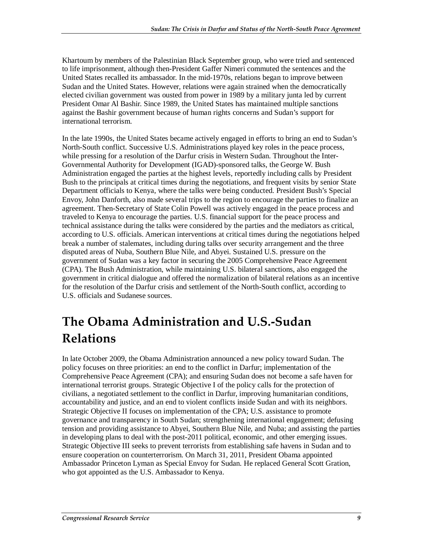Khartoum by members of the Palestinian Black September group, who were tried and sentenced to life imprisonment, although then-President Gaffer Nimeri commuted the sentences and the United States recalled its ambassador. In the mid-1970s, relations began to improve between Sudan and the United States. However, relations were again strained when the democratically elected civilian government was ousted from power in 1989 by a military junta led by current President Omar Al Bashir. Since 1989, the United States has maintained multiple sanctions against the Bashir government because of human rights concerns and Sudan's support for international terrorism.

In the late 1990s, the United States became actively engaged in efforts to bring an end to Sudan's North-South conflict. Successive U.S. Administrations played key roles in the peace process, while pressing for a resolution of the Darfur crisis in Western Sudan. Throughout the Inter-Governmental Authority for Development (IGAD)-sponsored talks, the George W. Bush Administration engaged the parties at the highest levels, reportedly including calls by President Bush to the principals at critical times during the negotiations, and frequent visits by senior State Department officials to Kenya, where the talks were being conducted. President Bush's Special Envoy, John Danforth, also made several trips to the region to encourage the parties to finalize an agreement. Then-Secretary of State Colin Powell was actively engaged in the peace process and traveled to Kenya to encourage the parties. U.S. financial support for the peace process and technical assistance during the talks were considered by the parties and the mediators as critical, according to U.S. officials. American interventions at critical times during the negotiations helped break a number of stalemates, including during talks over security arrangement and the three disputed areas of Nuba, Southern Blue Nile, and Abyei. Sustained U.S. pressure on the government of Sudan was a key factor in securing the 2005 Comprehensive Peace Agreement (CPA). The Bush Administration, while maintaining U.S. bilateral sanctions, also engaged the government in critical dialogue and offered the normalization of bilateral relations as an incentive for the resolution of the Darfur crisis and settlement of the North-South conflict, according to U.S. officials and Sudanese sources.

## **The Obama Administration and U.S.-Sudan Relations**

In late October 2009, the Obama Administration announced a new policy toward Sudan. The policy focuses on three priorities: an end to the conflict in Darfur; implementation of the Comprehensive Peace Agreement (CPA); and ensuring Sudan does not become a safe haven for international terrorist groups. Strategic Objective I of the policy calls for the protection of civilians, a negotiated settlement to the conflict in Darfur, improving humanitarian conditions, accountability and justice, and an end to violent conflicts inside Sudan and with its neighbors. Strategic Objective II focuses on implementation of the CPA; U.S. assistance to promote governance and transparency in South Sudan; strengthening international engagement; defusing tension and providing assistance to Abyei, Southern Blue Nile, and Nuba; and assisting the parties in developing plans to deal with the post-2011 political, economic, and other emerging issues. Strategic Objective III seeks to prevent terrorists from establishing safe havens in Sudan and to ensure cooperation on counterterrorism. On March 31, 2011, President Obama appointed Ambassador Princeton Lyman as Special Envoy for Sudan. He replaced General Scott Gration, who got appointed as the U.S. Ambassador to Kenya.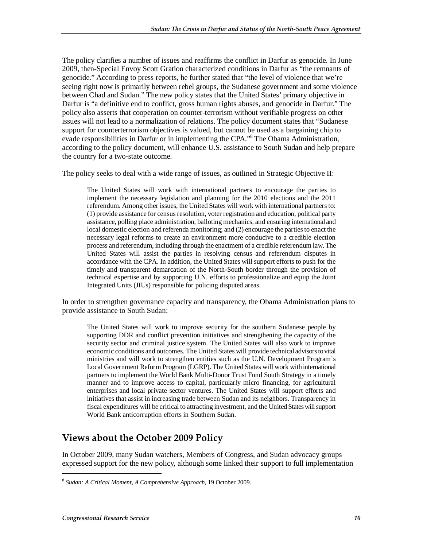The policy clarifies a number of issues and reaffirms the conflict in Darfur as genocide. In June 2009, then-Special Envoy Scott Gration characterized conditions in Darfur as "the remnants of genocide." According to press reports, he further stated that "the level of violence that we're seeing right now is primarily between rebel groups, the Sudanese government and some violence between Chad and Sudan." The new policy states that the United States' primary objective in Darfur is "a definitive end to conflict, gross human rights abuses, and genocide in Darfur." The policy also asserts that cooperation on counter-terrorism without verifiable progress on other issues will not lead to a normalization of relations. The policy document states that "Sudanese support for counterterrorism objectives is valued, but cannot be used as a bargaining chip to evade responsibilities in Darfur or in implementing the CPA."<sup>8</sup> The Obama Administration, according to the policy document, will enhance U.S. assistance to South Sudan and help prepare the country for a two-state outcome.

The policy seeks to deal with a wide range of issues, as outlined in Strategic Objective II:

The United States will work with international partners to encourage the parties to implement the necessary legislation and planning for the 2010 elections and the 2011 referendum. Among other issues, the United States will work with international partners to: (1) provide assistance for census resolution, voter registration and education, political party assistance, polling place administration, balloting mechanics, and ensuring international and local domestic election and referenda monitoring; and (2) encourage the parties to enact the necessary legal reforms to create an environment more conducive to a credible election process and referendum, including through the enactment of a credible referendum law. The United States will assist the parties in resolving census and referendum disputes in accordance with the CPA. In addition, the United States will support efforts to push for the timely and transparent demarcation of the North-South border through the provision of technical expertise and by supporting U.N. efforts to professionalize and equip the Joint Integrated Units (JIUs) responsible for policing disputed areas.

In order to strengthen governance capacity and transparency, the Obama Administration plans to provide assistance to South Sudan:

The United States will work to improve security for the southern Sudanese people by supporting DDR and conflict prevention initiatives and strengthening the capacity of the security sector and criminal justice system. The United States will also work to improve economic conditions and outcomes. The United States will provide technical advisors to vital ministries and will work to strengthen entities such as the U.N. Development Program's Local Government Reform Program (LGRP). The United States will work with international partners to implement the World Bank Multi-Donor Trust Fund South Strategy in a timely manner and to improve access to capital, particularly micro financing, for agricultural enterprises and local private sector ventures. The United States will support efforts and initiatives that assist in increasing trade between Sudan and its neighbors. Transparency in fiscal expenditures will be critical to attracting investment, and the United States will support World Bank anticorruption efforts in Southern Sudan.

#### **Views about the October 2009 Policy**

In October 2009, many Sudan watchers, Members of Congress, and Sudan advocacy groups expressed support for the new policy, although some linked their support to full implementation

<sup>8</sup> *Sudan: A Critical Moment, A Comprehensive Approach*, 19 October 2009.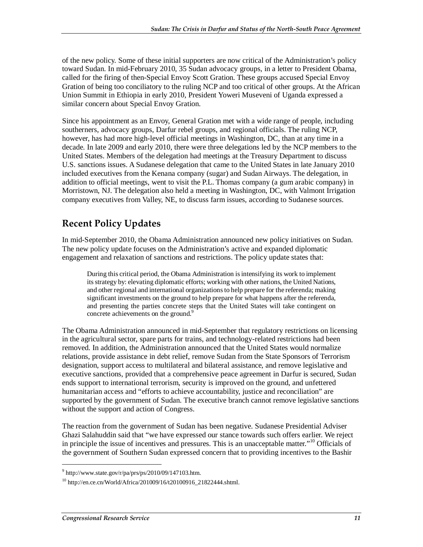of the new policy. Some of these initial supporters are now critical of the Administration's policy toward Sudan. In mid-February 2010, 35 Sudan advocacy groups, in a letter to President Obama, called for the firing of then-Special Envoy Scott Gration. These groups accused Special Envoy Gration of being too conciliatory to the ruling NCP and too critical of other groups. At the African Union Summit in Ethiopia in early 2010, President Yoweri Museveni of Uganda expressed a similar concern about Special Envoy Gration.

Since his appointment as an Envoy, General Gration met with a wide range of people, including southerners, advocacy groups, Darfur rebel groups, and regional officials. The ruling NCP, however, has had more high-level official meetings in Washington, DC, than at any time in a decade. In late 2009 and early 2010, there were three delegations led by the NCP members to the United States. Members of the delegation had meetings at the Treasury Department to discuss U.S. sanctions issues. A Sudanese delegation that came to the United States in late January 2010 included executives from the Kenana company (sugar) and Sudan Airways. The delegation, in addition to official meetings, went to visit the P.L. Thomas company (a gum arabic company) in Morristown, NJ. The delegation also held a meeting in Washington, DC, with Valmont Irrigation company executives from Valley, NE, to discuss farm issues, according to Sudanese sources.

### **Recent Policy Updates**

In mid-September 2010, the Obama Administration announced new policy initiatives on Sudan. The new policy update focuses on the Administration's active and expanded diplomatic engagement and relaxation of sanctions and restrictions. The policy update states that:

During this critical period, the Obama Administration is intensifying its work to implement its strategy by: elevating diplomatic efforts; working with other nations, the United Nations, and other regional and international organizations to help prepare for the referenda; making significant investments on the ground to help prepare for what happens after the referenda, and presenting the parties concrete steps that the United States will take contingent on concrete achievements on the ground.<sup>9</sup>

The Obama Administration announced in mid-September that regulatory restrictions on licensing in the agricultural sector, spare parts for trains, and technology-related restrictions had been removed. In addition, the Administration announced that the United States would normalize relations, provide assistance in debt relief, remove Sudan from the State Sponsors of Terrorism designation, support access to multilateral and bilateral assistance, and remove legislative and executive sanctions, provided that a comprehensive peace agreement in Darfur is secured, Sudan ends support to international terrorism, security is improved on the ground, and unfettered humanitarian access and "efforts to achieve accountability, justice and reconciliation" are supported by the government of Sudan. The executive branch cannot remove legislative sanctions without the support and action of Congress.

The reaction from the government of Sudan has been negative. Sudanese Presidential Adviser Ghazi Salahuddin said that "we have expressed our stance towards such offers earlier. We reject in principle the issue of incentives and pressures. This is an unacceptable matter."10 Officials of the government of Southern Sudan expressed concern that to providing incentives to the Bashir

 $9$  http://www.state.gov/r/pa/prs/ps/2010/09/147103.htm.

 $^{10}$  http://en.ce.cn/World/Africa/201009/16/t20100916\_21822444.shtml.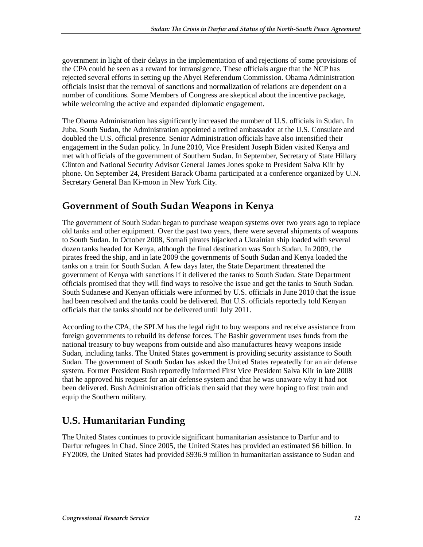government in light of their delays in the implementation of and rejections of some provisions of the CPA could be seen as a reward for intransigence. These officials argue that the NCP has rejected several efforts in setting up the Abyei Referendum Commission. Obama Administration officials insist that the removal of sanctions and normalization of relations are dependent on a number of conditions. Some Members of Congress are skeptical about the incentive package, while welcoming the active and expanded diplomatic engagement.

The Obama Administration has significantly increased the number of U.S. officials in Sudan. In Juba, South Sudan, the Administration appointed a retired ambassador at the U.S. Consulate and doubled the U.S. official presence. Senior Administration officials have also intensified their engagement in the Sudan policy. In June 2010, Vice President Joseph Biden visited Kenya and met with officials of the government of Southern Sudan. In September, Secretary of State Hillary Clinton and National Security Advisor General James Jones spoke to President Salva Kiir by phone. On September 24, President Barack Obama participated at a conference organized by U.N. Secretary General Ban Ki-moon in New York City.

#### **Government of South Sudan Weapons in Kenya**

The government of South Sudan began to purchase weapon systems over two years ago to replace old tanks and other equipment. Over the past two years, there were several shipments of weapons to South Sudan. In October 2008, Somali pirates hijacked a Ukrainian ship loaded with several dozen tanks headed for Kenya, although the final destination was South Sudan. In 2009, the pirates freed the ship, and in late 2009 the governments of South Sudan and Kenya loaded the tanks on a train for South Sudan. A few days later, the State Department threatened the government of Kenya with sanctions if it delivered the tanks to South Sudan. State Department officials promised that they will find ways to resolve the issue and get the tanks to South Sudan. South Sudanese and Kenyan officials were informed by U.S. officials in June 2010 that the issue had been resolved and the tanks could be delivered. But U.S. officials reportedly told Kenyan officials that the tanks should not be delivered until July 2011.

According to the CPA, the SPLM has the legal right to buy weapons and receive assistance from foreign governments to rebuild its defense forces. The Bashir government uses funds from the national treasury to buy weapons from outside and also manufactures heavy weapons inside Sudan, including tanks. The United States government is providing security assistance to South Sudan. The government of South Sudan has asked the United States repeatedly for an air defense system. Former President Bush reportedly informed First Vice President Salva Kiir in late 2008 that he approved his request for an air defense system and that he was unaware why it had not been delivered. Bush Administration officials then said that they were hoping to first train and equip the Southern military.

### **U.S. Humanitarian Funding**

The United States continues to provide significant humanitarian assistance to Darfur and to Darfur refugees in Chad. Since 2005, the United States has provided an estimated \$6 billion. In FY2009, the United States had provided \$936.9 million in humanitarian assistance to Sudan and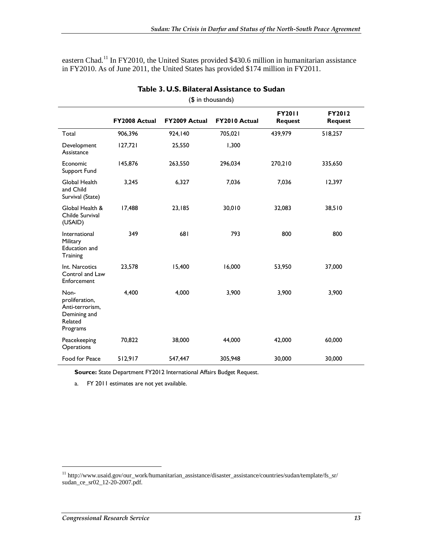eastern Chad.<sup>11</sup> In FY2010, the United States provided \$430.6 million in humanitarian assistance in FY2010. As of June 2011, the United States has provided \$174 million in FY2011.

| (\$ in thousands)                                                                |                      |               |               |                                 |                          |
|----------------------------------------------------------------------------------|----------------------|---------------|---------------|---------------------------------|--------------------------|
|                                                                                  | <b>FY2008 Actual</b> | FY2009 Actual | FY2010 Actual | <b>FY2011</b><br><b>Request</b> | FY2012<br><b>Request</b> |
| Total                                                                            | 906,396              | 924,140       | 705,021       | 439,979                         | 518,257                  |
| Development<br>Assistance                                                        | 127,721              | 25,550        | 1,300         |                                 |                          |
| Economic<br>Support Fund                                                         | 145,876              | 263,550       | 296,034       | 270,210                         | 335,650                  |
| Global Health<br>and Child<br>Survival (State)                                   | 3,245                | 6,327         | 7,036         | 7,036                           | 12,397                   |
| Global Health &<br>Childe Survival<br>(USAID)                                    | 17,488               | 23,185        | 30,010        | 32,083                          | 38,510                   |
| International<br>Military<br>Education and<br>Training                           | 349                  | 681           | 793           | 800                             | 800                      |
| Int. Narcotics<br>Control and Law<br>Enforcement                                 | 23,578               | 15,400        | 16,000        | 53,950                          | 37,000                   |
| Non-<br>proliferation,<br>Anti-terrorism,<br>Demining and<br>Related<br>Programs | 4,400                | 4,000         | 3,900         | 3,900                           | 3,900                    |
| Peacekeeping<br>Operations                                                       | 70,822               | 38,000        | 44,000        | 42,000                          | 60,000                   |
| Food for Peace                                                                   | 512,917              | 547,447       | 305,948       | 30,000                          | 30,000                   |

**Table 3. U.S. Bilateral Assistance to Sudan** 

**Source:** State Department FY2012 International Affairs Budget Request.

a. FY 2011 estimates are not yet available.

<sup>11</sup> http://www.usaid.gov/our\_work/humanitarian\_assistance/disaster\_assistance/countries/sudan/template/fs\_sr/ sudan\_ce\_sr02\_12-20-2007.pdf.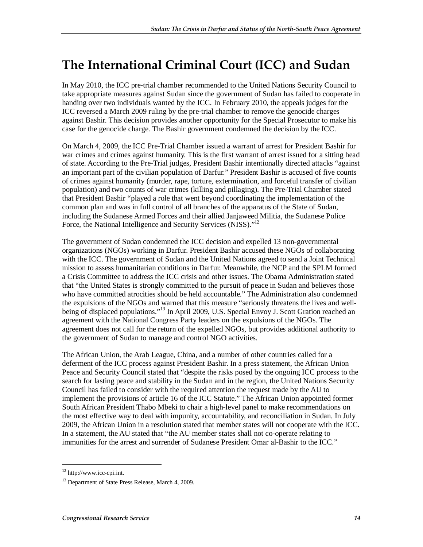## **The International Criminal Court (ICC) and Sudan**

In May 2010, the ICC pre-trial chamber recommended to the United Nations Security Council to take appropriate measures against Sudan since the government of Sudan has failed to cooperate in handing over two individuals wanted by the ICC. In February 2010, the appeals judges for the ICC reversed a March 2009 ruling by the pre-trial chamber to remove the genocide charges against Bashir. This decision provides another opportunity for the Special Prosecutor to make his case for the genocide charge. The Bashir government condemned the decision by the ICC.

On March 4, 2009, the ICC Pre-Trial Chamber issued a warrant of arrest for President Bashir for war crimes and crimes against humanity. This is the first warrant of arrest issued for a sitting head of state. According to the Pre-Trial judges, President Bashir intentionally directed attacks "against an important part of the civilian population of Darfur." President Bashir is accused of five counts of crimes against humanity (murder, rape, torture, extermination, and forceful transfer of civilian population) and two counts of war crimes (killing and pillaging). The Pre-Trial Chamber stated that President Bashir "played a role that went beyond coordinating the implementation of the common plan and was in full control of all branches of the apparatus of the State of Sudan, including the Sudanese Armed Forces and their allied Janjaweed Militia, the Sudanese Police Force, the National Intelligence and Security Services (NISS)."<sup>12</sup>

The government of Sudan condemned the ICC decision and expelled 13 non-governmental organizations (NGOs) working in Darfur. President Bashir accused these NGOs of collaborating with the ICC. The government of Sudan and the United Nations agreed to send a Joint Technical mission to assess humanitarian conditions in Darfur. Meanwhile, the NCP and the SPLM formed a Crisis Committee to address the ICC crisis and other issues. The Obama Administration stated that "the United States is strongly committed to the pursuit of peace in Sudan and believes those who have committed atrocities should be held accountable." The Administration also condemned the expulsions of the NGOs and warned that this measure "seriously threatens the lives and wellbeing of displaced populations."<sup>13</sup> In April 2009, U.S. Special Envoy J. Scott Gration reached an agreement with the National Congress Party leaders on the expulsions of the NGOs. The agreement does not call for the return of the expelled NGOs, but provides additional authority to the government of Sudan to manage and control NGO activities.

The African Union, the Arab League, China, and a number of other countries called for a deferment of the ICC process against President Bashir. In a press statement, the African Union Peace and Security Council stated that "despite the risks posed by the ongoing ICC process to the search for lasting peace and stability in the Sudan and in the region, the United Nations Security Council has failed to consider with the required attention the request made by the AU to implement the provisions of article 16 of the ICC Statute." The African Union appointed former South African President Thabo Mbeki to chair a high-level panel to make recommendations on the most effective way to deal with impunity, accountability, and reconciliation in Sudan. In July 2009, the African Union in a resolution stated that member states will not cooperate with the ICC. In a statement, the AU stated that "the AU member states shall not co-operate relating to immunities for the arrest and surrender of Sudanese President Omar al-Bashir to the ICC."

<sup>12</sup> http://www.icc-cpi.int.

<sup>&</sup>lt;sup>13</sup> Department of State Press Release, March 4, 2009.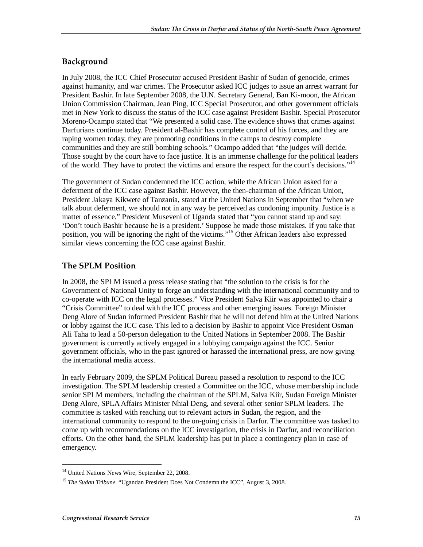#### **Background**

In July 2008, the ICC Chief Prosecutor accused President Bashir of Sudan of genocide, crimes against humanity, and war crimes. The Prosecutor asked ICC judges to issue an arrest warrant for President Bashir. In late September 2008, the U.N. Secretary General, Ban Ki-moon, the African Union Commission Chairman, Jean Ping, ICC Special Prosecutor, and other government officials met in New York to discuss the status of the ICC case against President Bashir. Special Prosecutor Moreno-Ocampo stated that "We presented a solid case. The evidence shows that crimes against Darfurians continue today. President al-Bashir has complete control of his forces, and they are raping women today, they are promoting conditions in the camps to destroy complete communities and they are still bombing schools." Ocampo added that "the judges will decide. Those sought by the court have to face justice. It is an immense challenge for the political leaders of the world. They have to protect the victims and ensure the respect for the court's decisions."<sup>14</sup>

The government of Sudan condemned the ICC action, while the African Union asked for a deferment of the ICC case against Bashir. However, the then-chairman of the African Union, President Jakaya Kikwete of Tanzania, stated at the United Nations in September that "when we talk about deferment, we should not in any way be perceived as condoning impunity. Justice is a matter of essence." President Museveni of Uganda stated that "you cannot stand up and say: 'Don't touch Bashir because he is a president.' Suppose he made those mistakes. If you take that position, you will be ignoring the right of the victims."15 Other African leaders also expressed similar views concerning the ICC case against Bashir.

#### **The SPLM Position**

In 2008, the SPLM issued a press release stating that "the solution to the crisis is for the Government of National Unity to forge an understanding with the international community and to co-operate with ICC on the legal processes." Vice President Salva Kiir was appointed to chair a "Crisis Committee" to deal with the ICC process and other emerging issues. Foreign Minister Deng Alore of Sudan informed President Bashir that he will not defend him at the United Nations or lobby against the ICC case. This led to a decision by Bashir to appoint Vice President Osman Ali Taha to lead a 50-person delegation to the United Nations in September 2008. The Bashir government is currently actively engaged in a lobbying campaign against the ICC. Senior government officials, who in the past ignored or harassed the international press, are now giving the international media access.

In early February 2009, the SPLM Political Bureau passed a resolution to respond to the ICC investigation. The SPLM leadership created a Committee on the ICC, whose membership include senior SPLM members, including the chairman of the SPLM, Salva Kiir, Sudan Foreign Minister Deng Alore, SPLA Affairs Minister Nhial Deng, and several other senior SPLM leaders. The committee is tasked with reaching out to relevant actors in Sudan, the region, and the international community to respond to the on-going crisis in Darfur. The committee was tasked to come up with recommendations on the ICC investigation, the crisis in Darfur, and reconciliation efforts. On the other hand, the SPLM leadership has put in place a contingency plan in case of emergency.

<sup>&</sup>lt;sup>14</sup> United Nations News Wire, September 22, 2008.

<sup>&</sup>lt;sup>15</sup> *The Sudan Tribune*. "Ugandan President Does Not Condemn the ICC", August 3, 2008.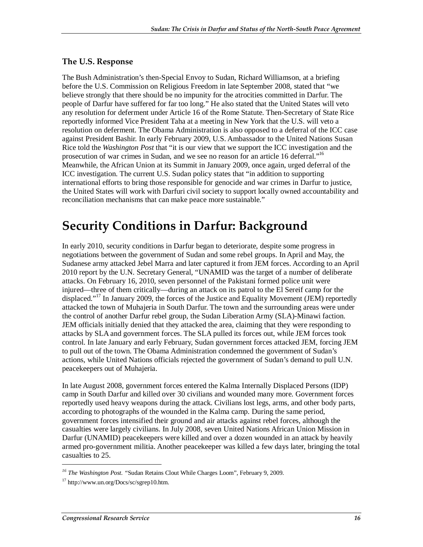#### **The U.S. Response**

The Bush Administration's then-Special Envoy to Sudan, Richard Williamson, at a briefing before the U.S. Commission on Religious Freedom in late September 2008, stated that "we believe strongly that there should be no impunity for the atrocities committed in Darfur. The people of Darfur have suffered for far too long." He also stated that the United States will veto any resolution for deferment under Article 16 of the Rome Statute. Then-Secretary of State Rice reportedly informed Vice President Taha at a meeting in New York that the U.S. will veto a resolution on deferment. The Obama Administration is also opposed to a deferral of the ICC case against President Bashir. In early February 2009, U.S. Ambassador to the United Nations Susan Rice told the *Washington Post* that "it is our view that we support the ICC investigation and the prosecution of war crimes in Sudan, and we see no reason for an article 16 deferral."<sup>16</sup> Meanwhile, the African Union at its Summit in January 2009, once again, urged deferral of the ICC investigation. The current U.S. Sudan policy states that "in addition to supporting international efforts to bring those responsible for genocide and war crimes in Darfur to justice, the United States will work with Darfuri civil society to support locally owned accountability and reconciliation mechanisms that can make peace more sustainable."

### **Security Conditions in Darfur: Background**

In early 2010, security conditions in Darfur began to deteriorate, despite some progress in negotiations between the government of Sudan and some rebel groups. In April and May, the Sudanese army attacked Jebel Marra and later captured it from JEM forces. According to an April 2010 report by the U.N. Secretary General, "UNAMID was the target of a number of deliberate attacks. On February 16, 2010, seven personnel of the Pakistani formed police unit were injured—three of them critically—during an attack on its patrol to the El Sereif camp for the displaced."17 In January 2009, the forces of the Justice and Equality Movement (JEM) reportedly attacked the town of Muhajeria in South Darfur. The town and the surrounding areas were under the control of another Darfur rebel group, the Sudan Liberation Army (SLA)-Minawi faction. JEM officials initially denied that they attacked the area, claiming that they were responding to attacks by SLA and government forces. The SLA pulled its forces out, while JEM forces took control. In late January and early February, Sudan government forces attacked JEM, forcing JEM to pull out of the town. The Obama Administration condemned the government of Sudan's actions, while United Nations officials rejected the government of Sudan's demand to pull U.N. peacekeepers out of Muhajeria.

In late August 2008, government forces entered the Kalma Internally Displaced Persons (IDP) camp in South Darfur and killed over 30 civilians and wounded many more. Government forces reportedly used heavy weapons during the attack. Civilians lost legs, arms, and other body parts, according to photographs of the wounded in the Kalma camp. During the same period, government forces intensified their ground and air attacks against rebel forces, although the casualties were largely civilians. In July 2008, seven United Nations African Union Mission in Darfur (UNAMID) peacekeepers were killed and over a dozen wounded in an attack by heavily armed pro-government militia. Another peacekeeper was killed a few days later, bringing the total casualties to 25.

*<sup>16</sup> The Washington Post. "*Sudan Retains Clout While Charges Loom", February 9, 2009.

<sup>17</sup> http://www.un.org/Docs/sc/sgrep10.htm.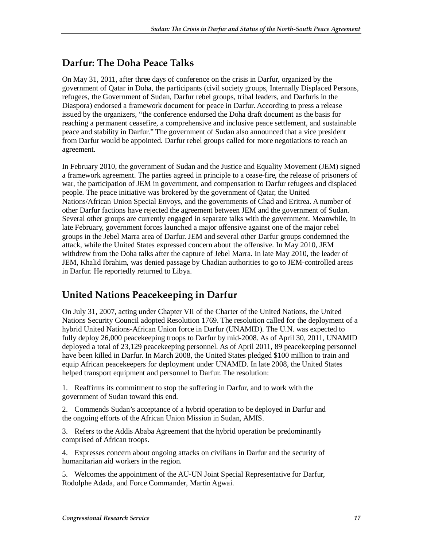#### **Darfur: The Doha Peace Talks**

On May 31, 2011, after three days of conference on the crisis in Darfur, organized by the government of Qatar in Doha, the participants (civil society groups, Internally Displaced Persons, refugees, the Government of Sudan, Darfur rebel groups, tribal leaders, and Darfuris in the Diaspora) endorsed a framework document for peace in Darfur. According to press a release issued by the organizers, "the conference endorsed the Doha draft document as the basis for reaching a permanent ceasefire, a comprehensive and inclusive peace settlement, and sustainable peace and stability in Darfur." The government of Sudan also announced that a vice president from Darfur would be appointed. Darfur rebel groups called for more negotiations to reach an agreement.

In February 2010, the government of Sudan and the Justice and Equality Movement (JEM) signed a framework agreement. The parties agreed in principle to a cease-fire, the release of prisoners of war, the participation of JEM in government, and compensation to Darfur refugees and displaced people. The peace initiative was brokered by the government of Qatar, the United Nations/African Union Special Envoys, and the governments of Chad and Eritrea. A number of other Darfur factions have rejected the agreement between JEM and the government of Sudan. Several other groups are currently engaged in separate talks with the government. Meanwhile, in late February, government forces launched a major offensive against one of the major rebel groups in the Jebel Marra area of Darfur. JEM and several other Darfur groups condemned the attack, while the United States expressed concern about the offensive. In May 2010, JEM withdrew from the Doha talks after the capture of Jebel Marra. In late May 2010, the leader of JEM, Khalid Ibrahim, was denied passage by Chadian authorities to go to JEM-controlled areas in Darfur. He reportedly returned to Libya.

### **United Nations Peacekeeping in Darfur**

On July 31, 2007, acting under Chapter VII of the Charter of the United Nations, the United Nations Security Council adopted Resolution 1769. The resolution called for the deployment of a hybrid United Nations-African Union force in Darfur (UNAMID). The U.N. was expected to fully deploy 26,000 peacekeeping troops to Darfur by mid-2008. As of April 30, 2011, UNAMID deployed a total of 23,129 peacekeeping personnel. As of April 2011, 89 peacekeeping personnel have been killed in Darfur. In March 2008, the United States pledged \$100 million to train and equip African peacekeepers for deployment under UNAMID. In late 2008, the United States helped transport equipment and personnel to Darfur. The resolution:

1. Reaffirms its commitment to stop the suffering in Darfur, and to work with the government of Sudan toward this end.

2. Commends Sudan's acceptance of a hybrid operation to be deployed in Darfur and the ongoing efforts of the African Union Mission in Sudan, AMIS.

3. Refers to the Addis Ababa Agreement that the hybrid operation be predominantly comprised of African troops.

4. Expresses concern about ongoing attacks on civilians in Darfur and the security of humanitarian aid workers in the region.

5. Welcomes the appointment of the AU-UN Joint Special Representative for Darfur, Rodolphe Adada, and Force Commander, Martin Agwai.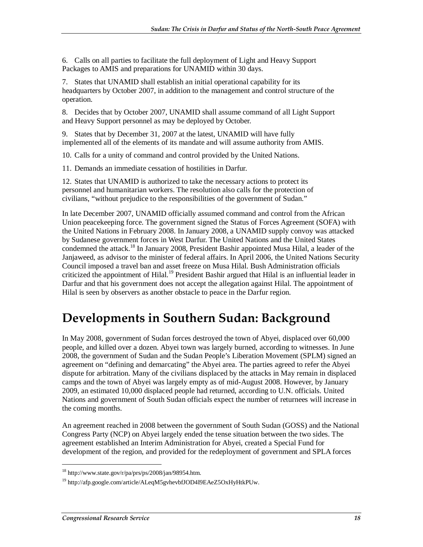6. Calls on all parties to facilitate the full deployment of Light and Heavy Support Packages to AMIS and preparations for UNAMID within 30 days.

7. States that UNAMID shall establish an initial operational capability for its headquarters by October 2007, in addition to the management and control structure of the operation.

8. Decides that by October 2007, UNAMID shall assume command of all Light Support and Heavy Support personnel as may be deployed by October.

9. States that by December 31, 2007 at the latest, UNAMID will have fully implemented all of the elements of its mandate and will assume authority from AMIS.

10. Calls for a unity of command and control provided by the United Nations.

11. Demands an immediate cessation of hostilities in Darfur.

12. States that UNAMID is authorized to take the necessary actions to protect its personnel and humanitarian workers. The resolution also calls for the protection of civilians, "without prejudice to the responsibilities of the government of Sudan."

In late December 2007, UNAMID officially assumed command and control from the African Union peacekeeping force. The government signed the Status of Forces Agreement (SOFA) with the United Nations in February 2008. In January 2008, a UNAMID supply convoy was attacked by Sudanese government forces in West Darfur. The United Nations and the United States condemned the attack.<sup>18</sup> In January 2008, President Bashir appointed Musa Hilal, a leader of the Janjaweed, as advisor to the minister of federal affairs. In April 2006, the United Nations Security Council imposed a travel ban and asset freeze on Musa Hilal. Bush Administration officials criticized the appointment of Hilal.<sup>19</sup> President Bashir argued that Hilal is an influential leader in Darfur and that his government does not accept the allegation against Hilal. The appointment of Hilal is seen by observers as another obstacle to peace in the Darfur region.

### **Developments in Southern Sudan: Background**

In May 2008, government of Sudan forces destroyed the town of Abyei, displaced over 60,000 people, and killed over a dozen. Abyei town was largely burned, according to witnesses. In June 2008, the government of Sudan and the Sudan People's Liberation Movement (SPLM) signed an agreement on "defining and demarcating" the Abyei area. The parties agreed to refer the Abyei dispute for arbitration. Many of the civilians displaced by the attacks in May remain in displaced camps and the town of Abyei was largely empty as of mid-August 2008. However, by January 2009, an estimated 10,000 displaced people had returned, according to U.N. officials. United Nations and government of South Sudan officials expect the number of returnees will increase in the coming months.

An agreement reached in 2008 between the government of South Sudan (GOSS) and the National Congress Party (NCP) on Abyei largely ended the tense situation between the two sides. The agreement established an Interim Administration for Abyei, created a Special Fund for development of the region, and provided for the redeployment of government and SPLA forces

 $18 \text{ http://www.state.gov/r/pa/prs/ps/2008/jan/98954.htm.}$ 

<sup>&</sup>lt;sup>19</sup> http://afp.google.com/article/ALeqM5gvhevbfJOD4I9EAeZ5OxHyHtkPUw.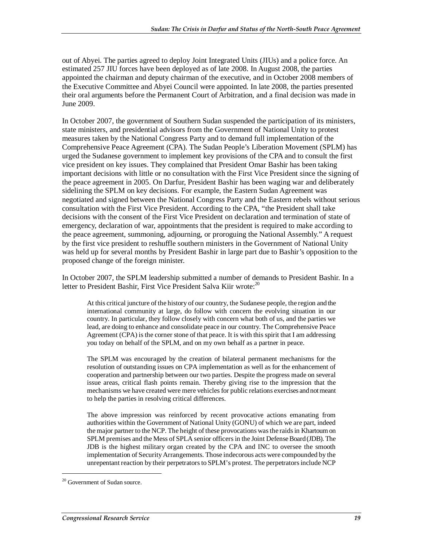out of Abyei. The parties agreed to deploy Joint Integrated Units (JIUs) and a police force. An estimated 257 JIU forces have been deployed as of late 2008. In August 2008, the parties appointed the chairman and deputy chairman of the executive, and in October 2008 members of the Executive Committee and Abyei Council were appointed. In late 2008, the parties presented their oral arguments before the Permanent Court of Arbitration, and a final decision was made in June 2009.

In October 2007, the government of Southern Sudan suspended the participation of its ministers, state ministers, and presidential advisors from the Government of National Unity to protest measures taken by the National Congress Party and to demand full implementation of the Comprehensive Peace Agreement (CPA). The Sudan People's Liberation Movement (SPLM) has urged the Sudanese government to implement key provisions of the CPA and to consult the first vice president on key issues. They complained that President Omar Bashir has been taking important decisions with little or no consultation with the First Vice President since the signing of the peace agreement in 2005. On Darfur, President Bashir has been waging war and deliberately sidelining the SPLM on key decisions. For example, the Eastern Sudan Agreement was negotiated and signed between the National Congress Party and the Eastern rebels without serious consultation with the First Vice President. According to the CPA, "the President shall take decisions with the consent of the First Vice President on declaration and termination of state of emergency, declaration of war, appointments that the president is required to make according to the peace agreement, summoning, adjourning, or proroguing the National Assembly." A request by the first vice president to reshuffle southern ministers in the Government of National Unity was held up for several months by President Bashir in large part due to Bashir's opposition to the proposed change of the foreign minister.

In October 2007, the SPLM leadership submitted a number of demands to President Bashir. In a letter to President Bashir, First Vice President Salva Kiir wrote: $^{20}$ 

At this critical juncture of the history of our country, the Sudanese people, the region and the international community at large, do follow with concern the evolving situation in our country. In particular, they follow closely with concern what both of us, and the parties we lead, are doing to enhance and consolidate peace in our country. The Comprehensive Peace Agreement (CPA) is the corner stone of that peace. It is with this spirit that I am addressing you today on behalf of the SPLM, and on my own behalf as a partner in peace.

The SPLM was encouraged by the creation of bilateral permanent mechanisms for the resolution of outstanding issues on CPA implementation as well as for the enhancement of cooperation and partnership between our two parties. Despite the progress made on several issue areas, critical flash points remain. Thereby giving rise to the impression that the mechanisms we have created were mere vehicles for public relations exercises and not meant to help the parties in resolving critical differences.

The above impression was reinforced by recent provocative actions emanating from authorities within the Government of National Unity (GONU) of which we are part, indeed the major partner to the NCP. The height of these provocations was the raids in Khartoum on SPLM premises and the Mess of SPLA senior officers in the Joint Defense Board (JDB). The JDB is the highest military organ created by the CPA and INC to oversee the smooth implementation of Security Arrangements. Those indecorous acts were compounded by the unrepentant reaction by their perpetrators to SPLM's protest. The perpetrators include NCP

<sup>&</sup>lt;sup>20</sup> Government of Sudan source.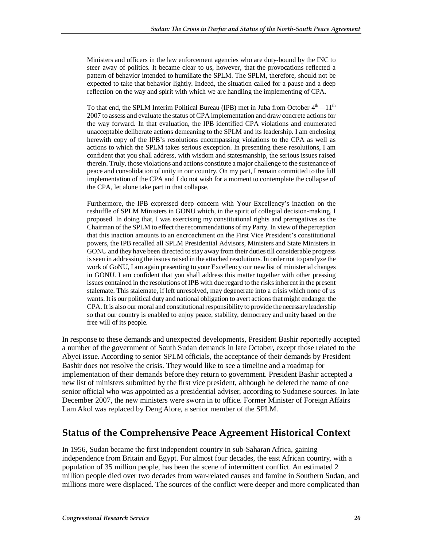Ministers and officers in the law enforcement agencies who are duty-bound by the INC to steer away of politics. It became clear to us, however, that the provocations reflected a pattern of behavior intended to humiliate the SPLM. The SPLM, therefore, should not be expected to take that behavior lightly. Indeed, the situation called for a pause and a deep reflection on the way and spirit with which we are handling the implementing of CPA.

To that end, the SPLM Interim Political Bureau (IPB) met in Juba from October  $4<sup>th</sup>$ — $11<sup>th</sup>$ 2007 to assess and evaluate the status of CPA implementation and draw concrete actions for the way forward. In that evaluation, the IPB identified CPA violations and enumerated unacceptable deliberate actions demeaning to the SPLM and its leadership. I am enclosing herewith copy of the IPB's resolutions encompassing violations to the CPA as well as actions to which the SPLM takes serious exception. In presenting these resolutions, I am confident that you shall address, with wisdom and statesmanship, the serious issues raised therein. Truly, those violations and actions constitute a major challenge to the sustenance of peace and consolidation of unity in our country. On my part, I remain committed to the full implementation of the CPA and I do not wish for a moment to contemplate the collapse of the CPA, let alone take part in that collapse.

Furthermore, the IPB expressed deep concern with Your Excellency's inaction on the reshuffle of SPLM Ministers in GONU which, in the spirit of collegial decision-making, I proposed. In doing that, I was exercising my constitutional rights and prerogatives as the Chairman of the SPLM to effect the recommendations of my Party. In view of the perception that this inaction amounts to an encroachment on the First Vice President's constitutional powers, the IPB recalled all SPLM Presidential Advisors, Ministers and State Ministers in GONU and they have been directed to stay away from their duties till considerable progress is seen in addressing the issues raised in the attached resolutions. In order not to paralyze the work of GoNU, I am again presenting to your Excellency our new list of ministerial changes in GONU. I am confident that you shall address this matter together with other pressing issues contained in the resolutions of IPB with due regard to the risks inherent in the present stalemate. This stalemate, if left unresolved, may degenerate into a crisis which none of us wants. It is our political duty and national obligation to avert actions that might endanger the CPA. It is also our moral and constitutional responsibility to provide the necessary leadership so that our country is enabled to enjoy peace, stability, democracy and unity based on the free will of its people.

In response to these demands and unexpected developments, President Bashir reportedly accepted a number of the government of South Sudan demands in late October, except those related to the Abyei issue. According to senior SPLM officials, the acceptance of their demands by President Bashir does not resolve the crisis. They would like to see a timeline and a roadmap for implementation of their demands before they return to government. President Bashir accepted a new list of ministers submitted by the first vice president, although he deleted the name of one senior official who was appointed as a presidential adviser, according to Sudanese sources. In late December 2007, the new ministers were sworn in to office. Former Minister of Foreign Affairs Lam Akol was replaced by Deng Alore, a senior member of the SPLM.

#### **Status of the Comprehensive Peace Agreement Historical Context**

In 1956, Sudan became the first independent country in sub-Saharan Africa, gaining independence from Britain and Egypt. For almost four decades, the east African country, with a population of 35 million people, has been the scene of intermittent conflict. An estimated 2 million people died over two decades from war-related causes and famine in Southern Sudan, and millions more were displaced. The sources of the conflict were deeper and more complicated than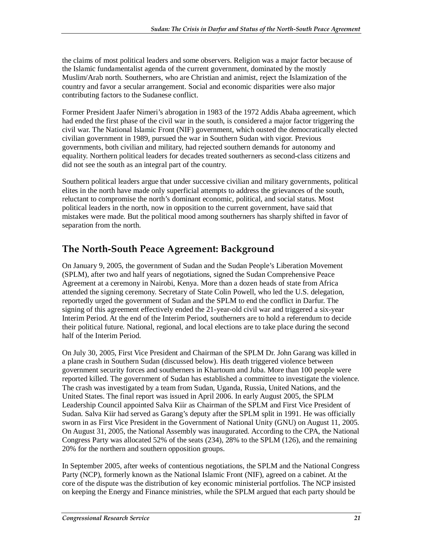the claims of most political leaders and some observers. Religion was a major factor because of the Islamic fundamentalist agenda of the current government, dominated by the mostly Muslim/Arab north. Southerners, who are Christian and animist, reject the Islamization of the country and favor a secular arrangement. Social and economic disparities were also major contributing factors to the Sudanese conflict.

Former President Jaafer Nimeri's abrogation in 1983 of the 1972 Addis Ababa agreement, which had ended the first phase of the civil war in the south, is considered a major factor triggering the civil war. The National Islamic Front (NIF) government, which ousted the democratically elected civilian government in 1989, pursued the war in Southern Sudan with vigor. Previous governments, both civilian and military, had rejected southern demands for autonomy and equality. Northern political leaders for decades treated southerners as second-class citizens and did not see the south as an integral part of the country.

Southern political leaders argue that under successive civilian and military governments, political elites in the north have made only superficial attempts to address the grievances of the south, reluctant to compromise the north's dominant economic, political, and social status. Most political leaders in the north, now in opposition to the current government, have said that mistakes were made. But the political mood among southerners has sharply shifted in favor of separation from the north.

#### **The North-South Peace Agreement: Background**

On January 9, 2005, the government of Sudan and the Sudan People's Liberation Movement (SPLM), after two and half years of negotiations, signed the Sudan Comprehensive Peace Agreement at a ceremony in Nairobi, Kenya. More than a dozen heads of state from Africa attended the signing ceremony. Secretary of State Colin Powell, who led the U.S. delegation, reportedly urged the government of Sudan and the SPLM to end the conflict in Darfur. The signing of this agreement effectively ended the 21-year-old civil war and triggered a six-year Interim Period. At the end of the Interim Period, southerners are to hold a referendum to decide their political future. National, regional, and local elections are to take place during the second half of the Interim Period.

On July 30, 2005, First Vice President and Chairman of the SPLM Dr. John Garang was killed in a plane crash in Southern Sudan (discussed below). His death triggered violence between government security forces and southerners in Khartoum and Juba. More than 100 people were reported killed. The government of Sudan has established a committee to investigate the violence. The crash was investigated by a team from Sudan, Uganda, Russia, United Nations, and the United States. The final report was issued in April 2006. In early August 2005, the SPLM Leadership Council appointed Salva Kiir as Chairman of the SPLM and First Vice President of Sudan. Salva Kiir had served as Garang's deputy after the SPLM split in 1991. He was officially sworn in as First Vice President in the Government of National Unity (GNU) on August 11, 2005. On August 31, 2005, the National Assembly was inaugurated. According to the CPA, the National Congress Party was allocated 52% of the seats (234), 28% to the SPLM (126), and the remaining 20% for the northern and southern opposition groups.

In September 2005, after weeks of contentious negotiations, the SPLM and the National Congress Party (NCP), formerly known as the National Islamic Front (NIF), agreed on a cabinet. At the core of the dispute was the distribution of key economic ministerial portfolios. The NCP insisted on keeping the Energy and Finance ministries, while the SPLM argued that each party should be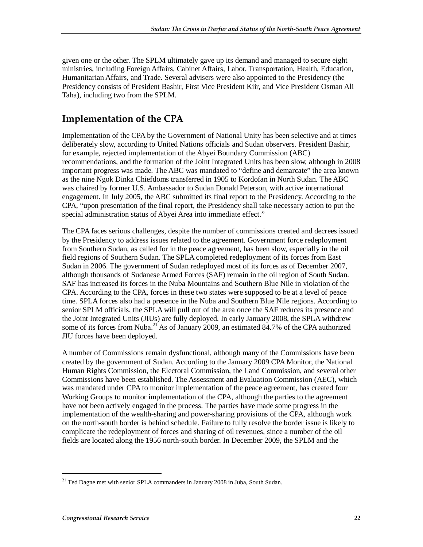given one or the other. The SPLM ultimately gave up its demand and managed to secure eight ministries, including Foreign Affairs, Cabinet Affairs, Labor, Transportation, Health, Education, Humanitarian Affairs, and Trade. Several advisers were also appointed to the Presidency (the Presidency consists of President Bashir, First Vice President Kiir, and Vice President Osman Ali Taha), including two from the SPLM.

### **Implementation of the CPA**

Implementation of the CPA by the Government of National Unity has been selective and at times deliberately slow, according to United Nations officials and Sudan observers. President Bashir, for example, rejected implementation of the Abyei Boundary Commission (ABC) recommendations, and the formation of the Joint Integrated Units has been slow, although in 2008 important progress was made. The ABC was mandated to "define and demarcate" the area known as the nine Ngok Dinka Chiefdoms transferred in 1905 to Kordofan in North Sudan. The ABC was chaired by former U.S. Ambassador to Sudan Donald Peterson, with active international engagement. In July 2005, the ABC submitted its final report to the Presidency. According to the CPA, "upon presentation of the final report, the Presidency shall take necessary action to put the special administration status of Abyei Area into immediate effect."

The CPA faces serious challenges, despite the number of commissions created and decrees issued by the Presidency to address issues related to the agreement. Government force redeployment from Southern Sudan, as called for in the peace agreement, has been slow, especially in the oil field regions of Southern Sudan. The SPLA completed redeployment of its forces from East Sudan in 2006. The government of Sudan redeployed most of its forces as of December 2007, although thousands of Sudanese Armed Forces (SAF) remain in the oil region of South Sudan. SAF has increased its forces in the Nuba Mountains and Southern Blue Nile in violation of the CPA. According to the CPA, forces in these two states were supposed to be at a level of peace time. SPLA forces also had a presence in the Nuba and Southern Blue Nile regions. According to senior SPLM officials, the SPLA will pull out of the area once the SAF reduces its presence and the Joint Integrated Units (JIUs) are fully deployed. In early January 2008, the SPLA withdrew some of its forces from Nuba.<sup>21</sup> As of January 2009, an estimated 84.7% of the CPA authorized JIU forces have been deployed.

A number of Commissions remain dysfunctional, although many of the Commissions have been created by the government of Sudan. According to the January 2009 CPA Monitor, the National Human Rights Commission, the Electoral Commission, the Land Commission, and several other Commissions have been established. The Assessment and Evaluation Commission (AEC), which was mandated under CPA to monitor implementation of the peace agreement, has created four Working Groups to monitor implementation of the CPA, although the parties to the agreement have not been actively engaged in the process. The parties have made some progress in the implementation of the wealth-sharing and power-sharing provisions of the CPA, although work on the north-south border is behind schedule. Failure to fully resolve the border issue is likely to complicate the redeployment of forces and sharing of oil revenues, since a number of the oil fields are located along the 1956 north-south border. In December 2009, the SPLM and the

 $21$  Ted Dagne met with senior SPLA commanders in January 2008 in Juba, South Sudan.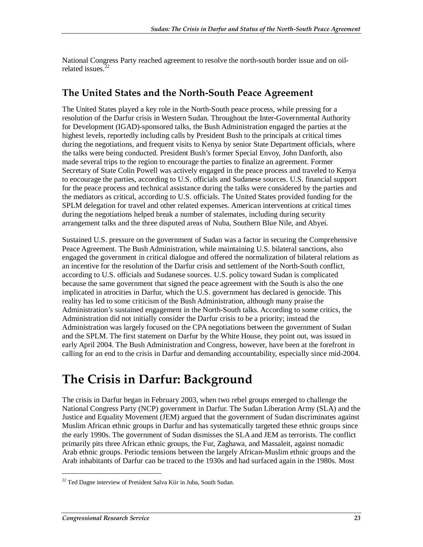National Congress Party reached agreement to resolve the north-south border issue and on oilrelated issues. $22$ 

#### **The United States and the North-South Peace Agreement**

The United States played a key role in the North-South peace process, while pressing for a resolution of the Darfur crisis in Western Sudan. Throughout the Inter-Governmental Authority for Development (IGAD)-sponsored talks, the Bush Administration engaged the parties at the highest levels, reportedly including calls by President Bush to the principals at critical times during the negotiations, and frequent visits to Kenya by senior State Department officials, where the talks were being conducted. President Bush's former Special Envoy, John Danforth, also made several trips to the region to encourage the parties to finalize an agreement. Former Secretary of State Colin Powell was actively engaged in the peace process and traveled to Kenya to encourage the parties, according to U.S. officials and Sudanese sources. U.S. financial support for the peace process and technical assistance during the talks were considered by the parties and the mediators as critical, according to U.S. officials. The United States provided funding for the SPLM delegation for travel and other related expenses. American interventions at critical times during the negotiations helped break a number of stalemates, including during security arrangement talks and the three disputed areas of Nuba, Southern Blue Nile, and Abyei.

Sustained U.S. pressure on the government of Sudan was a factor in securing the Comprehensive Peace Agreement. The Bush Administration, while maintaining U.S. bilateral sanctions, also engaged the government in critical dialogue and offered the normalization of bilateral relations as an incentive for the resolution of the Darfur crisis and settlement of the North-South conflict, according to U.S. officials and Sudanese sources. U.S. policy toward Sudan is complicated because the same government that signed the peace agreement with the South is also the one implicated in atrocities in Darfur, which the U.S. government has declared is genocide. This reality has led to some criticism of the Bush Administration, although many praise the Administration's sustained engagement in the North-South talks. According to some critics, the Administration did not initially consider the Darfur crisis to be a priority; instead the Administration was largely focused on the CPA negotiations between the government of Sudan and the SPLM. The first statement on Darfur by the White House, they point out, was issued in early April 2004. The Bush Administration and Congress, however, have been at the forefront in calling for an end to the crisis in Darfur and demanding accountability, especially since mid-2004.

### **The Crisis in Darfur: Background**

The crisis in Darfur began in February 2003, when two rebel groups emerged to challenge the National Congress Party (NCP) government in Darfur. The Sudan Liberation Army (SLA) and the Justice and Equality Movement (JEM) argued that the government of Sudan discriminates against Muslim African ethnic groups in Darfur and has systematically targeted these ethnic groups since the early 1990s. The government of Sudan dismisses the SLA and JEM as terrorists. The conflict primarily pits three African ethnic groups, the Fur, Zaghawa, and Massaleit, against nomadic Arab ethnic groups. Periodic tensions between the largely African-Muslim ethnic groups and the Arab inhabitants of Darfur can be traced to the 1930s and had surfaced again in the 1980s. Most

 $22$  Ted Dagne interview of President Salva Kiir in Juba, South Sudan.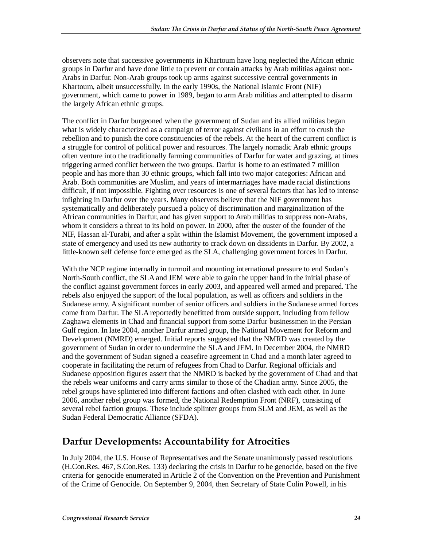observers note that successive governments in Khartoum have long neglected the African ethnic groups in Darfur and have done little to prevent or contain attacks by Arab militias against non-Arabs in Darfur. Non-Arab groups took up arms against successive central governments in Khartoum, albeit unsuccessfully. In the early 1990s, the National Islamic Front (NIF) government, which came to power in 1989, began to arm Arab militias and attempted to disarm the largely African ethnic groups.

The conflict in Darfur burgeoned when the government of Sudan and its allied militias began what is widely characterized as a campaign of terror against civilians in an effort to crush the rebellion and to punish the core constituencies of the rebels. At the heart of the current conflict is a struggle for control of political power and resources. The largely nomadic Arab ethnic groups often venture into the traditionally farming communities of Darfur for water and grazing, at times triggering armed conflict between the two groups. Darfur is home to an estimated 7 million people and has more than 30 ethnic groups, which fall into two major categories: African and Arab. Both communities are Muslim, and years of intermarriages have made racial distinctions difficult, if not impossible. Fighting over resources is one of several factors that has led to intense infighting in Darfur over the years. Many observers believe that the NIF government has systematically and deliberately pursued a policy of discrimination and marginalization of the African communities in Darfur, and has given support to Arab militias to suppress non-Arabs, whom it considers a threat to its hold on power. In 2000, after the ouster of the founder of the NIF, Hassan al-Turabi, and after a split within the Islamist Movement, the government imposed a state of emergency and used its new authority to crack down on dissidents in Darfur. By 2002, a little-known self defense force emerged as the SLA, challenging government forces in Darfur.

With the NCP regime internally in turmoil and mounting international pressure to end Sudan's North-South conflict, the SLA and JEM were able to gain the upper hand in the initial phase of the conflict against government forces in early 2003, and appeared well armed and prepared. The rebels also enjoyed the support of the local population, as well as officers and soldiers in the Sudanese army. A significant number of senior officers and soldiers in the Sudanese armed forces come from Darfur. The SLA reportedly benefitted from outside support, including from fellow Zaghawa elements in Chad and financial support from some Darfur businessmen in the Persian Gulf region. In late 2004, another Darfur armed group, the National Movement for Reform and Development (NMRD) emerged. Initial reports suggested that the NMRD was created by the government of Sudan in order to undermine the SLA and JEM. In December 2004, the NMRD and the government of Sudan signed a ceasefire agreement in Chad and a month later agreed to cooperate in facilitating the return of refugees from Chad to Darfur. Regional officials and Sudanese opposition figures assert that the NMRD is backed by the government of Chad and that the rebels wear uniforms and carry arms similar to those of the Chadian army. Since 2005, the rebel groups have splintered into different factions and often clashed with each other. In June 2006, another rebel group was formed, the National Redemption Front (NRF), consisting of several rebel faction groups. These include splinter groups from SLM and JEM, as well as the Sudan Federal Democratic Alliance (SFDA).

#### **Darfur Developments: Accountability for Atrocities**

In July 2004, the U.S. House of Representatives and the Senate unanimously passed resolutions (H.Con.Res. 467, S.Con.Res. 133) declaring the crisis in Darfur to be genocide, based on the five criteria for genocide enumerated in Article 2 of the Convention on the Prevention and Punishment of the Crime of Genocide. On September 9, 2004, then Secretary of State Colin Powell, in his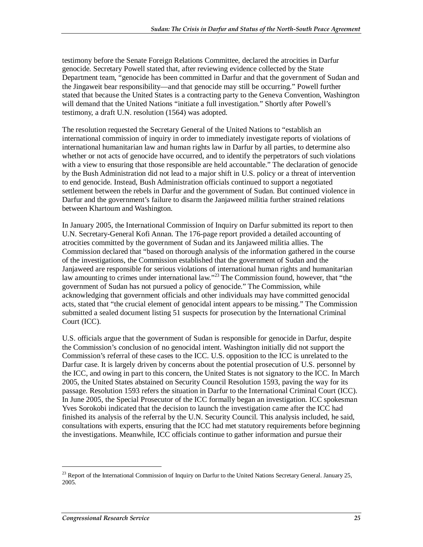testimony before the Senate Foreign Relations Committee, declared the atrocities in Darfur genocide. Secretary Powell stated that, after reviewing evidence collected by the State Department team, "genocide has been committed in Darfur and that the government of Sudan and the Jingaweit bear responsibility—and that genocide may still be occurring." Powell further stated that because the United States is a contracting party to the Geneva Convention, Washington will demand that the United Nations "initiate a full investigation." Shortly after Powell's testimony, a draft U.N. resolution (1564) was adopted.

The resolution requested the Secretary General of the United Nations to "establish an international commission of inquiry in order to immediately investigate reports of violations of international humanitarian law and human rights law in Darfur by all parties, to determine also whether or not acts of genocide have occurred, and to identify the perpetrators of such violations with a view to ensuring that those responsible are held accountable." The declaration of genocide by the Bush Administration did not lead to a major shift in U.S. policy or a threat of intervention to end genocide. Instead, Bush Administration officials continued to support a negotiated settlement between the rebels in Darfur and the government of Sudan. But continued violence in Darfur and the government's failure to disarm the Janjaweed militia further strained relations between Khartoum and Washington.

In January 2005, the International Commission of Inquiry on Darfur submitted its report to then U.N. Secretary-General Kofi Annan. The 176-page report provided a detailed accounting of atrocities committed by the government of Sudan and its Janjaweed militia allies. The Commission declared that "based on thorough analysis of the information gathered in the course of the investigations, the Commission established that the government of Sudan and the Janjaweed are responsible for serious violations of international human rights and humanitarian law amounting to crimes under international law."<sup>23</sup> The Commission found, however, that "the government of Sudan has not pursued a policy of genocide." The Commission, while acknowledging that government officials and other individuals may have committed genocidal acts, stated that "the crucial element of genocidal intent appears to be missing." The Commission submitted a sealed document listing 51 suspects for prosecution by the International Criminal Court (ICC).

U.S. officials argue that the government of Sudan is responsible for genocide in Darfur, despite the Commission's conclusion of no genocidal intent. Washington initially did not support the Commission's referral of these cases to the ICC. U.S. opposition to the ICC is unrelated to the Darfur case. It is largely driven by concerns about the potential prosecution of U.S. personnel by the ICC, and owing in part to this concern, the United States is not signatory to the ICC. In March 2005, the United States abstained on Security Council Resolution 1593, paving the way for its passage. Resolution 1593 refers the situation in Darfur to the International Criminal Court (ICC). In June 2005, the Special Prosecutor of the ICC formally began an investigation. ICC spokesman Yves Sorokobi indicated that the decision to launch the investigation came after the ICC had finished its analysis of the referral by the U.N. Security Council. This analysis included, he said, consultations with experts, ensuring that the ICC had met statutory requirements before beginning the investigations. Meanwhile, ICC officials continue to gather information and pursue their

<sup>&</sup>lt;sup>23</sup> Report of the International Commission of Inquiry on Darfur to the United Nations Secretary General. January 25, 2005.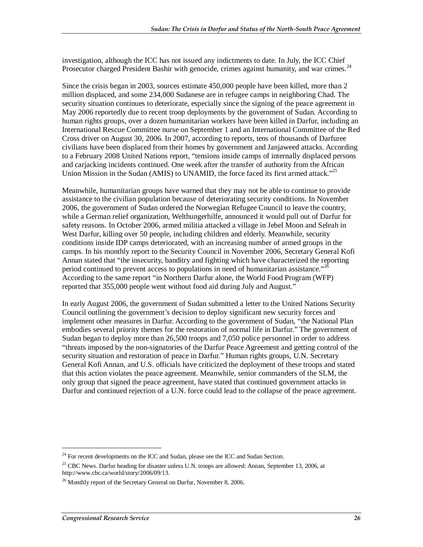investigation, although the ICC has not issued any indictments to date. In July, the ICC Chief Prosecutor charged President Bashir with genocide, crimes against humanity, and war crimes.<sup>24</sup>

Since the crisis began in 2003, sources estimate 450,000 people have been killed, more than 2 million displaced, and some 234,000 Sudanese are in refugee camps in neighboring Chad. The security situation continues to deteriorate, especially since the signing of the peace agreement in May 2006 reportedly due to recent troop deployments by the government of Sudan. According to human rights groups, over a dozen humanitarian workers have been killed in Darfur, including an International Rescue Committee nurse on September 1 and an International Committee of the Red Cross driver on August 30, 2006. In 2007, according to reports, tens of thousands of Darfuree civilians have been displaced from their homes by government and Janjaweed attacks. According to a February 2008 United Nations report, "tensions inside camps of internally displaced persons and carjacking incidents continued. One week after the transfer of authority from the African Union Mission in the Sudan (AMIS) to UNAMID, the force faced its first armed attack."<sup>25</sup>

Meanwhile, humanitarian groups have warned that they may not be able to continue to provide assistance to the civilian population because of deteriorating security conditions. In November 2006, the government of Sudan ordered the Norwegian Refugee Council to leave the country, while a German relief organization, Welthungerhilfe, announced it would pull out of Darfur for safety reasons. In October 2006, armed militia attacked a village in Jebel Moon and Seleah in West Darfur, killing over 50 people, including children and elderly. Meanwhile, security conditions inside IDP camps deteriorated, with an increasing number of armed groups in the camps. In his monthly report to the Security Council in November 2006, Secretary General Kofi Annan stated that "the insecurity, banditry and fighting which have characterized the reporting period continued to prevent access to populations in need of humanitarian assistance."<sup>26</sup> According to the same report "in Northern Darfur alone, the World Food Program (WFP) reported that 355,000 people went without food aid during July and August."

In early August 2006, the government of Sudan submitted a letter to the United Nations Security Council outlining the government's decision to deploy significant new security forces and implement other measures in Darfur. According to the government of Sudan, "the National Plan embodies several priority themes for the restoration of normal life in Darfur." The government of Sudan began to deploy more than 26,500 troops and 7,050 police personnel in order to address "threats imposed by the non-signatories of the Darfur Peace Agreement and getting control of the security situation and restoration of peace in Darfur." Human rights groups, U.N. Secretary General Kofi Annan, and U.S. officials have criticized the deployment of these troops and stated that this action violates the peace agreement. Meanwhile, senior commanders of the SLM, the only group that signed the peace agreement, have stated that continued government attacks in Darfur and continued rejection of a U.N. force could lead to the collapse of the peace agreement.

 $24$  For recent developments on the ICC and Sudan, please see the ICC and Sudan Section.

<sup>&</sup>lt;sup>25</sup> CBC News. Darfur heading for disaster unless U.N. troops are allowed: Annan, September 13, 2006, at http://www.cbc.ca/world/story/2006/09/13.

 $^{26}$  Monthly report of the Secretary General on Darfur, November 8, 2006.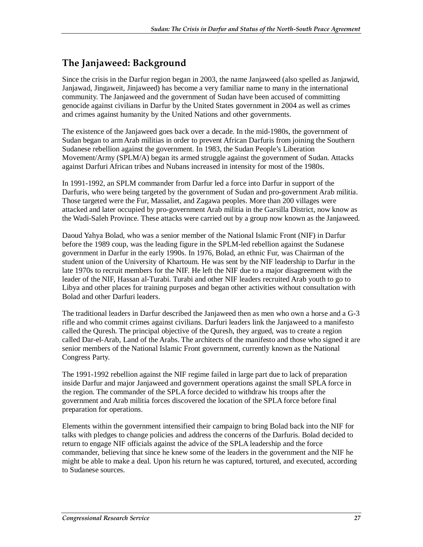### **The Janjaweed: Background**

Since the crisis in the Darfur region began in 2003, the name Janjaweed (also spelled as Janjawid, Janjawad, Jingaweit, Jinjaweed) has become a very familiar name to many in the international community. The Janjaweed and the government of Sudan have been accused of committing genocide against civilians in Darfur by the United States government in 2004 as well as crimes and crimes against humanity by the United Nations and other governments.

The existence of the Janjaweed goes back over a decade. In the mid-1980s, the government of Sudan began to arm Arab militias in order to prevent African Darfuris from joining the Southern Sudanese rebellion against the government. In 1983, the Sudan People's Liberation Movement/Army (SPLM/A) began its armed struggle against the government of Sudan. Attacks against Darfuri African tribes and Nubans increased in intensity for most of the 1980s.

In 1991-1992, an SPLM commander from Darfur led a force into Darfur in support of the Darfuris, who were being targeted by the government of Sudan and pro-government Arab militia. Those targeted were the Fur, Massaliet, and Zagawa peoples. More than 200 villages were attacked and later occupied by pro-government Arab militia in the Garsilla District, now know as the Wadi-Saleh Province. These attacks were carried out by a group now known as the Janjaweed.

Daoud Yahya Bolad, who was a senior member of the National Islamic Front (NIF) in Darfur before the 1989 coup, was the leading figure in the SPLM-led rebellion against the Sudanese government in Darfur in the early 1990s. In 1976, Bolad, an ethnic Fur, was Chairman of the student union of the University of Khartoum. He was sent by the NIF leadership to Darfur in the late 1970s to recruit members for the NIF. He left the NIF due to a major disagreement with the leader of the NIF, Hassan al-Turabi. Turabi and other NIF leaders recruited Arab youth to go to Libya and other places for training purposes and began other activities without consultation with Bolad and other Darfuri leaders.

The traditional leaders in Darfur described the Janjaweed then as men who own a horse and a G-3 rifle and who commit crimes against civilians. Darfuri leaders link the Janjaweed to a manifesto called the Quresh. The principal objective of the Quresh, they argued, was to create a region called Dar-el-Arab, Land of the Arabs. The architects of the manifesto and those who signed it are senior members of the National Islamic Front government, currently known as the National Congress Party.

The 1991-1992 rebellion against the NIF regime failed in large part due to lack of preparation inside Darfur and major Janjaweed and government operations against the small SPLA force in the region. The commander of the SPLA force decided to withdraw his troops after the government and Arab militia forces discovered the location of the SPLA force before final preparation for operations.

Elements within the government intensified their campaign to bring Bolad back into the NIF for talks with pledges to change policies and address the concerns of the Darfuris. Bolad decided to return to engage NIF officials against the advice of the SPLA leadership and the force commander, believing that since he knew some of the leaders in the government and the NIF he might be able to make a deal. Upon his return he was captured, tortured, and executed, according to Sudanese sources.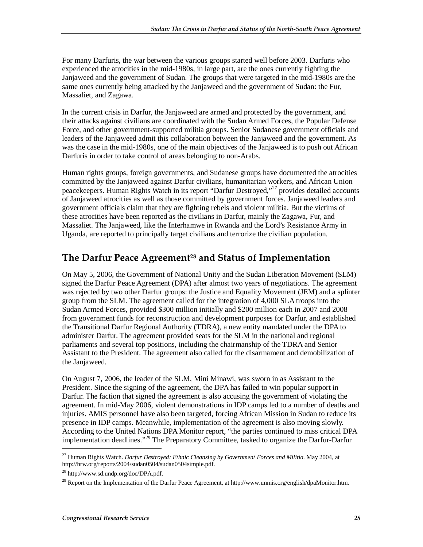For many Darfuris, the war between the various groups started well before 2003. Darfuris who experienced the atrocities in the mid-1980s, in large part, are the ones currently fighting the Janjaweed and the government of Sudan. The groups that were targeted in the mid-1980s are the same ones currently being attacked by the Janjaweed and the government of Sudan: the Fur, Massaliet, and Zagawa.

In the current crisis in Darfur, the Janjaweed are armed and protected by the government, and their attacks against civilians are coordinated with the Sudan Armed Forces, the Popular Defense Force, and other government-supported militia groups. Senior Sudanese government officials and leaders of the Janjaweed admit this collaboration between the Janjaweed and the government. As was the case in the mid-1980s, one of the main objectives of the Janjaweed is to push out African Darfuris in order to take control of areas belonging to non-Arabs.

Human rights groups, foreign governments, and Sudanese groups have documented the atrocities committed by the Janjaweed against Darfur civilians, humanitarian workers, and African Union peacekeepers. Human Rights Watch in its report "Darfur Destroyed,"27 provides detailed accounts of Janjaweed atrocities as well as those committed by government forces. Janjaweed leaders and government officials claim that they are fighting rebels and violent militia. But the victims of these atrocities have been reported as the civilians in Darfur, mainly the Zagawa, Fur, and Massaliet. The Janjaweed, like the Interhamwe in Rwanda and the Lord's Resistance Army in Uganda, are reported to principally target civilians and terrorize the civilian population.

#### The Darfur Peace Agreement<sup>28</sup> and Status of Implementation

On May 5, 2006, the Government of National Unity and the Sudan Liberation Movement (SLM) signed the Darfur Peace Agreement (DPA) after almost two years of negotiations. The agreement was rejected by two other Darfur groups: the Justice and Equality Movement (JEM) and a splinter group from the SLM. The agreement called for the integration of 4,000 SLA troops into the Sudan Armed Forces, provided \$300 million initially and \$200 million each in 2007 and 2008 from government funds for reconstruction and development purposes for Darfur, and established the Transitional Darfur Regional Authority (TDRA), a new entity mandated under the DPA to administer Darfur. The agreement provided seats for the SLM in the national and regional parliaments and several top positions, including the chairmanship of the TDRA and Senior Assistant to the President. The agreement also called for the disarmament and demobilization of the Janjaweed.

On August 7, 2006, the leader of the SLM, Mini Minawi, was sworn in as Assistant to the President. Since the signing of the agreement, the DPA has failed to win popular support in Darfur. The faction that signed the agreement is also accusing the government of violating the agreement. In mid-May 2006, violent demonstrations in IDP camps led to a number of deaths and injuries. AMIS personnel have also been targeted, forcing African Mission in Sudan to reduce its presence in IDP camps. Meanwhile, implementation of the agreement is also moving slowly. According to the United Nations DPA Monitor report, "the parties continued to miss critical DPA implementation deadlines."<sup>29</sup> The Preparatory Committee, tasked to organize the Darfur-Darfur

<sup>27</sup> Human Rights Watch. *Darfur Destroyed: Ethnic Cleansing by Government Forces and Militia.* May 2004, at http://hrw.org/reports/2004/sudan0504/sudan0504simple.pdf.

<sup>28</sup> http://www.sd.undp.org/doc/DPA.pdf.

<sup>&</sup>lt;sup>29</sup> Report on the Implementation of the Darfur Peace Agreement, at http://www.unmis.org/english/dpaMonitor.htm.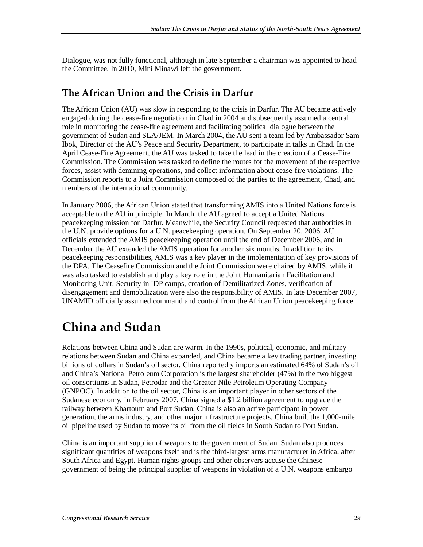Dialogue, was not fully functional, although in late September a chairman was appointed to head the Committee. In 2010, Mini Minawi left the government.

#### **The African Union and the Crisis in Darfur**

The African Union (AU) was slow in responding to the crisis in Darfur. The AU became actively engaged during the cease-fire negotiation in Chad in 2004 and subsequently assumed a central role in monitoring the cease-fire agreement and facilitating political dialogue between the government of Sudan and SLA/JEM. In March 2004, the AU sent a team led by Ambassador Sam Ibok, Director of the AU's Peace and Security Department, to participate in talks in Chad. In the April Cease-Fire Agreement, the AU was tasked to take the lead in the creation of a Cease-Fire Commission. The Commission was tasked to define the routes for the movement of the respective forces, assist with demining operations, and collect information about cease-fire violations. The Commission reports to a Joint Commission composed of the parties to the agreement, Chad, and members of the international community.

In January 2006, the African Union stated that transforming AMIS into a United Nations force is acceptable to the AU in principle. In March, the AU agreed to accept a United Nations peacekeeping mission for Darfur. Meanwhile, the Security Council requested that authorities in the U.N. provide options for a U.N. peacekeeping operation. On September 20, 2006, AU officials extended the AMIS peacekeeping operation until the end of December 2006, and in December the AU extended the AMIS operation for another six months. In addition to its peacekeeping responsibilities, AMIS was a key player in the implementation of key provisions of the DPA. The Ceasefire Commission and the Joint Commission were chaired by AMIS, while it was also tasked to establish and play a key role in the Joint Humanitarian Facilitation and Monitoring Unit. Security in IDP camps, creation of Demilitarized Zones, verification of disengagement and demobilization were also the responsibility of AMIS. In late December 2007, UNAMID officially assumed command and control from the African Union peacekeeping force.

## **China and Sudan**

Relations between China and Sudan are warm. In the 1990s, political, economic, and military relations between Sudan and China expanded, and China became a key trading partner, investing billions of dollars in Sudan's oil sector. China reportedly imports an estimated 64% of Sudan's oil and China's National Petroleum Corporation is the largest shareholder (47%) in the two biggest oil consortiums in Sudan, Petrodar and the Greater Nile Petroleum Operating Company (GNPOC). In addition to the oil sector, China is an important player in other sectors of the Sudanese economy. In February 2007, China signed a \$1.2 billion agreement to upgrade the railway between Khartoum and Port Sudan. China is also an active participant in power generation, the arms industry, and other major infrastructure projects. China built the 1,000-mile oil pipeline used by Sudan to move its oil from the oil fields in South Sudan to Port Sudan.

China is an important supplier of weapons to the government of Sudan. Sudan also produces significant quantities of weapons itself and is the third-largest arms manufacturer in Africa, after South Africa and Egypt. Human rights groups and other observers accuse the Chinese government of being the principal supplier of weapons in violation of a U.N. weapons embargo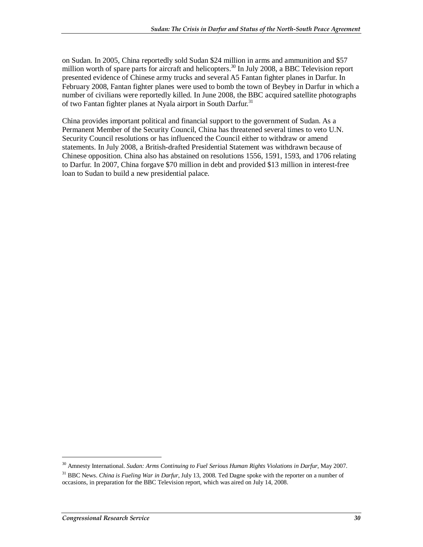on Sudan. In 2005, China reportedly sold Sudan \$24 million in arms and ammunition and \$57 million worth of spare parts for aircraft and helicopters.<sup>30</sup> In July 2008, a BBC Television report presented evidence of Chinese army trucks and several A5 Fantan fighter planes in Darfur. In February 2008, Fantan fighter planes were used to bomb the town of Beybey in Darfur in which a number of civilians were reportedly killed. In June 2008, the BBC acquired satellite photographs of two Fantan fighter planes at Nyala airport in South Darfur.<sup>31</sup>

China provides important political and financial support to the government of Sudan. As a Permanent Member of the Security Council, China has threatened several times to veto U.N. Security Council resolutions or has influenced the Council either to withdraw or amend statements. In July 2008, a British-drafted Presidential Statement was withdrawn because of Chinese opposition. China also has abstained on resolutions 1556, 1591, 1593, and 1706 relating to Darfur. In 2007, China forgave \$70 million in debt and provided \$13 million in interest-free loan to Sudan to build a new presidential palace.

<sup>30</sup> Amnesty International. *Sudan: Arms Continuing to Fuel Serious Human Rights Violations in Darfur*, May 2007.

<sup>31</sup> BBC News. *China is Fueling War in Darfur*, July 13, 2008. Ted Dagne spoke with the reporter on a number of occasions, in preparation for the BBC Television report, which was aired on July 14, 2008.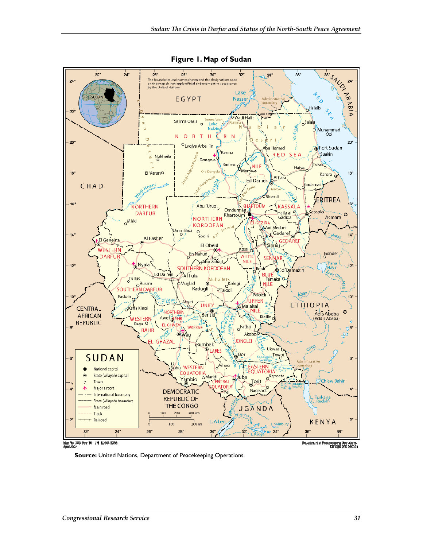

**Figure 1. Map of Sudan** 

.<br>Map No 1707 Hov 10 L.NI LD NATIONS<br>April 2007

Department of Poscessiping Operations

**Source:** United Nations, Department of Peacekeeping Operations.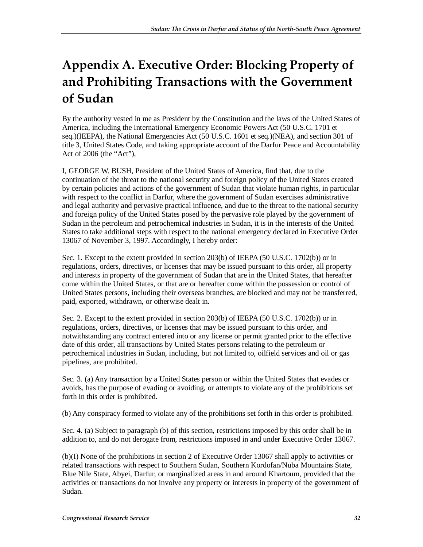## **Appendix A. Executive Order: Blocking Property of and Prohibiting Transactions with the Government of Sudan**

By the authority vested in me as President by the Constitution and the laws of the United States of America, including the International Emergency Economic Powers Act (50 U.S.C. 1701 et seq.)(IEEPA), the National Emergencies Act (50 U.S.C. 1601 et seq.)(NEA), and section 301 of title 3, United States Code, and taking appropriate account of the Darfur Peace and Accountability Act of 2006 (the "Act"),

I, GEORGE W. BUSH, President of the United States of America, find that, due to the continuation of the threat to the national security and foreign policy of the United States created by certain policies and actions of the government of Sudan that violate human rights, in particular with respect to the conflict in Darfur, where the government of Sudan exercises administrative and legal authority and pervasive practical influence, and due to the threat to the national security and foreign policy of the United States posed by the pervasive role played by the government of Sudan in the petroleum and petrochemical industries in Sudan, it is in the interests of the United States to take additional steps with respect to the national emergency declared in Executive Order 13067 of November 3, 1997. Accordingly, I hereby order:

Sec. 1. Except to the extent provided in section 203(b) of IEEPA (50 U.S.C. 1702(b)) or in regulations, orders, directives, or licenses that may be issued pursuant to this order, all property and interests in property of the government of Sudan that are in the United States, that hereafter come within the United States, or that are or hereafter come within the possession or control of United States persons, including their overseas branches, are blocked and may not be transferred, paid, exported, withdrawn, or otherwise dealt in.

Sec. 2. Except to the extent provided in section 203(b) of IEEPA (50 U.S.C. 1702(b)) or in regulations, orders, directives, or licenses that may be issued pursuant to this order, and notwithstanding any contract entered into or any license or permit granted prior to the effective date of this order, all transactions by United States persons relating to the petroleum or petrochemical industries in Sudan, including, but not limited to, oilfield services and oil or gas pipelines, are prohibited.

Sec. 3. (a) Any transaction by a United States person or within the United States that evades or avoids, has the purpose of evading or avoiding, or attempts to violate any of the prohibitions set forth in this order is prohibited.

(b) Any conspiracy formed to violate any of the prohibitions set forth in this order is prohibited.

Sec. 4. (a) Subject to paragraph (b) of this section, restrictions imposed by this order shall be in addition to, and do not derogate from, restrictions imposed in and under Executive Order 13067.

(b)(I) None of the prohibitions in section 2 of Executive Order 13067 shall apply to activities or related transactions with respect to Southern Sudan, Southern Kordofan/Nuba Mountains State, Blue Nile State, Abyei, Darfur, or marginalized areas in and around Khartoum, provided that the activities or transactions do not involve any property or interests in property of the government of Sudan.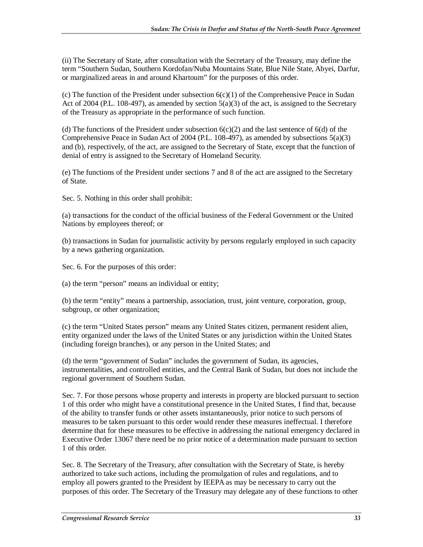(ii) The Secretary of State, after consultation with the Secretary of the Treasury, may define the term "Southern Sudan, Southern Kordofan/Nuba Mountains State, Blue Nile State, Abyei, Darfur, or marginalized areas in and around Khartoum" for the purposes of this order.

(c) The function of the President under subsection  $6(c)(1)$  of the Comprehensive Peace in Sudan Act of 2004 (P.L. 108-497), as amended by section  $5(a)(3)$  of the act, is assigned to the Secretary of the Treasury as appropriate in the performance of such function.

(d) The functions of the President under subsection  $6(c)(2)$  and the last sentence of  $6(d)$  of the Comprehensive Peace in Sudan Act of 2004 (P.L. 108-497), as amended by subsections  $5(a)(3)$ and (b), respectively, of the act, are assigned to the Secretary of State, except that the function of denial of entry is assigned to the Secretary of Homeland Security.

(e) The functions of the President under sections 7 and 8 of the act are assigned to the Secretary of State.

Sec. 5. Nothing in this order shall prohibit:

(a) transactions for the conduct of the official business of the Federal Government or the United Nations by employees thereof; or

(b) transactions in Sudan for journalistic activity by persons regularly employed in such capacity by a news gathering organization.

Sec. 6. For the purposes of this order:

(a) the term "person" means an individual or entity;

(b) the term "entity" means a partnership, association, trust, joint venture, corporation, group, subgroup, or other organization;

(c) the term "United States person" means any United States citizen, permanent resident alien, entity organized under the laws of the United States or any jurisdiction within the United States (including foreign branches), or any person in the United States; and

(d) the term "government of Sudan" includes the government of Sudan, its agencies, instrumentalities, and controlled entities, and the Central Bank of Sudan, but does not include the regional government of Southern Sudan.

Sec. 7. For those persons whose property and interests in property are blocked pursuant to section 1 of this order who might have a constitutional presence in the United States, I find that, because of the ability to transfer funds or other assets instantaneously, prior notice to such persons of measures to be taken pursuant to this order would render these measures ineffectual. I therefore determine that for these measures to be effective in addressing the national emergency declared in Executive Order 13067 there need be no prior notice of a determination made pursuant to section 1 of this order.

Sec. 8. The Secretary of the Treasury, after consultation with the Secretary of State, is hereby authorized to take such actions, including the promulgation of rules and regulations, and to employ all powers granted to the President by IEEPA as may be necessary to carry out the purposes of this order. The Secretary of the Treasury may delegate any of these functions to other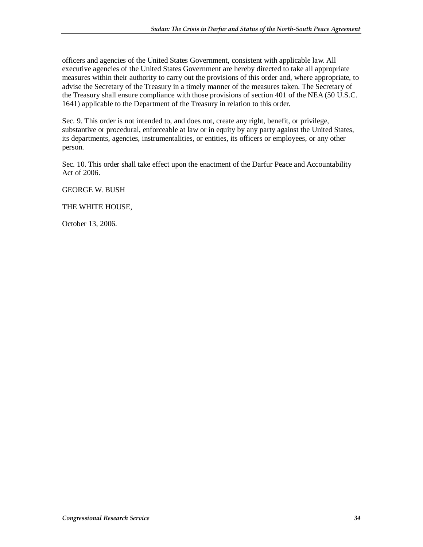officers and agencies of the United States Government, consistent with applicable law. All executive agencies of the United States Government are hereby directed to take all appropriate measures within their authority to carry out the provisions of this order and, where appropriate, to advise the Secretary of the Treasury in a timely manner of the measures taken. The Secretary of the Treasury shall ensure compliance with those provisions of section 401 of the NEA (50 U.S.C. 1641) applicable to the Department of the Treasury in relation to this order.

Sec. 9. This order is not intended to, and does not, create any right, benefit, or privilege, substantive or procedural, enforceable at law or in equity by any party against the United States, its departments, agencies, instrumentalities, or entities, its officers or employees, or any other person.

Sec. 10. This order shall take effect upon the enactment of the Darfur Peace and Accountability Act of 2006.

#### GEORGE W. BUSH

#### THE WHITE HOUSE,

October 13, 2006.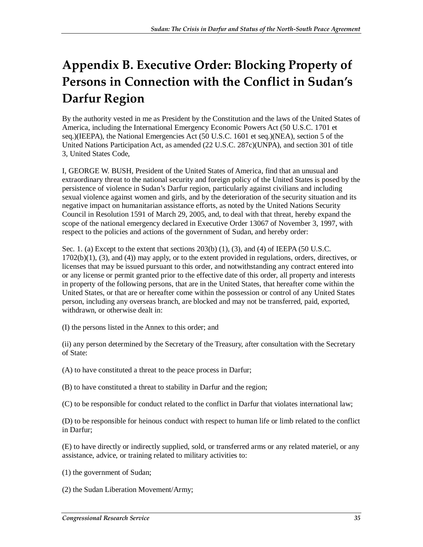## **Appendix B. Executive Order: Blocking Property of Persons in Connection with the Conflict in Sudan's Darfur Region**

By the authority vested in me as President by the Constitution and the laws of the United States of America, including the International Emergency Economic Powers Act (50 U.S.C. 1701 et seq.)(IEEPA), the National Emergencies Act (50 U.S.C. 1601 et seq.)(NEA), section 5 of the United Nations Participation Act, as amended (22 U.S.C. 287c)(UNPA), and section 301 of title 3, United States Code,

I, GEORGE W. BUSH, President of the United States of America, find that an unusual and extraordinary threat to the national security and foreign policy of the United States is posed by the persistence of violence in Sudan's Darfur region, particularly against civilians and including sexual violence against women and girls, and by the deterioration of the security situation and its negative impact on humanitarian assistance efforts, as noted by the United Nations Security Council in Resolution 1591 of March 29, 2005, and, to deal with that threat, hereby expand the scope of the national emergency declared in Executive Order 13067 of November 3, 1997, with respect to the policies and actions of the government of Sudan, and hereby order:

Sec. 1. (a) Except to the extent that sections  $203(b)$  (1), (3), and (4) of IEEPA (50 U.S.C. 1702(b)(1), (3), and (4)) may apply, or to the extent provided in regulations, orders, directives, or licenses that may be issued pursuant to this order, and notwithstanding any contract entered into or any license or permit granted prior to the effective date of this order, all property and interests in property of the following persons, that are in the United States, that hereafter come within the United States, or that are or hereafter come within the possession or control of any United States person, including any overseas branch, are blocked and may not be transferred, paid, exported, withdrawn, or otherwise dealt in:

(I) the persons listed in the Annex to this order; and

(ii) any person determined by the Secretary of the Treasury, after consultation with the Secretary of State:

- (A) to have constituted a threat to the peace process in Darfur;
- (B) to have constituted a threat to stability in Darfur and the region;
- (C) to be responsible for conduct related to the conflict in Darfur that violates international law;

(D) to be responsible for heinous conduct with respect to human life or limb related to the conflict in Darfur;

(E) to have directly or indirectly supplied, sold, or transferred arms or any related materiel, or any assistance, advice, or training related to military activities to:

- (1) the government of Sudan;
- (2) the Sudan Liberation Movement/Army;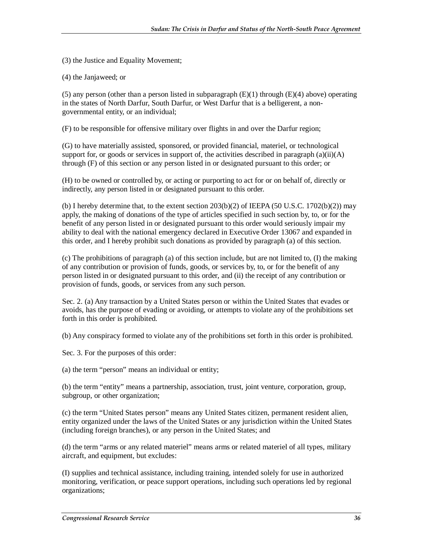(3) the Justice and Equality Movement;

(4) the Janjaweed; or

(5) any person (other than a person listed in subparagraph  $(E)(1)$  through  $(E)(4)$  above) operating in the states of North Darfur, South Darfur, or West Darfur that is a belligerent, a nongovernmental entity, or an individual;

(F) to be responsible for offensive military over flights in and over the Darfur region;

(G) to have materially assisted, sponsored, or provided financial, materiel, or technological support for, or goods or services in support of, the activities described in paragraph  $(a)(ii)(A)$ through (F) of this section or any person listed in or designated pursuant to this order; or

(H) to be owned or controlled by, or acting or purporting to act for or on behalf of, directly or indirectly, any person listed in or designated pursuant to this order.

(b) I hereby determine that, to the extent section  $203(b)(2)$  of IEEPA (50 U.S.C. 1702(b)(2)) may apply, the making of donations of the type of articles specified in such section by, to, or for the benefit of any person listed in or designated pursuant to this order would seriously impair my ability to deal with the national emergency declared in Executive Order 13067 and expanded in this order, and I hereby prohibit such donations as provided by paragraph (a) of this section.

(c) The prohibitions of paragraph (a) of this section include, but are not limited to, (I) the making of any contribution or provision of funds, goods, or services by, to, or for the benefit of any person listed in or designated pursuant to this order, and (ii) the receipt of any contribution or provision of funds, goods, or services from any such person.

Sec. 2. (a) Any transaction by a United States person or within the United States that evades or avoids, has the purpose of evading or avoiding, or attempts to violate any of the prohibitions set forth in this order is prohibited.

(b) Any conspiracy formed to violate any of the prohibitions set forth in this order is prohibited.

Sec. 3. For the purposes of this order:

(a) the term "person" means an individual or entity;

(b) the term "entity" means a partnership, association, trust, joint venture, corporation, group, subgroup, or other organization;

(c) the term "United States person" means any United States citizen, permanent resident alien, entity organized under the laws of the United States or any jurisdiction within the United States (including foreign branches), or any person in the United States; and

(d) the term "arms or any related materiel" means arms or related materiel of all types, military aircraft, and equipment, but excludes:

(I) supplies and technical assistance, including training, intended solely for use in authorized monitoring, verification, or peace support operations, including such operations led by regional organizations;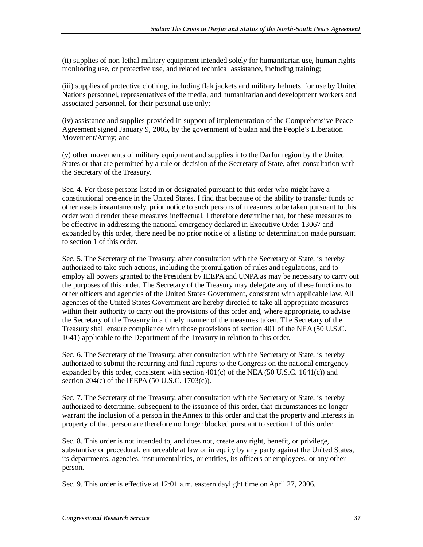(ii) supplies of non-lethal military equipment intended solely for humanitarian use, human rights monitoring use, or protective use, and related technical assistance, including training;

(iii) supplies of protective clothing, including flak jackets and military helmets, for use by United Nations personnel, representatives of the media, and humanitarian and development workers and associated personnel, for their personal use only;

(iv) assistance and supplies provided in support of implementation of the Comprehensive Peace Agreement signed January 9, 2005, by the government of Sudan and the People's Liberation Movement/Army; and

(v) other movements of military equipment and supplies into the Darfur region by the United States or that are permitted by a rule or decision of the Secretary of State, after consultation with the Secretary of the Treasury.

Sec. 4. For those persons listed in or designated pursuant to this order who might have a constitutional presence in the United States, I find that because of the ability to transfer funds or other assets instantaneously, prior notice to such persons of measures to be taken pursuant to this order would render these measures ineffectual. I therefore determine that, for these measures to be effective in addressing the national emergency declared in Executive Order 13067 and expanded by this order, there need be no prior notice of a listing or determination made pursuant to section 1 of this order.

Sec. 5. The Secretary of the Treasury, after consultation with the Secretary of State, is hereby authorized to take such actions, including the promulgation of rules and regulations, and to employ all powers granted to the President by IEEPA and UNPA as may be necessary to carry out the purposes of this order. The Secretary of the Treasury may delegate any of these functions to other officers and agencies of the United States Government, consistent with applicable law. All agencies of the United States Government are hereby directed to take all appropriate measures within their authority to carry out the provisions of this order and, where appropriate, to advise the Secretary of the Treasury in a timely manner of the measures taken. The Secretary of the Treasury shall ensure compliance with those provisions of section 401 of the NEA (50 U.S.C. 1641) applicable to the Department of the Treasury in relation to this order.

Sec. 6. The Secretary of the Treasury, after consultation with the Secretary of State, is hereby authorized to submit the recurring and final reports to the Congress on the national emergency expanded by this order, consistent with section  $401(c)$  of the NEA (50 U.S.C. 1641(c)) and section 204(c) of the IEEPA (50 U.S.C. 1703(c)).

Sec. 7. The Secretary of the Treasury, after consultation with the Secretary of State, is hereby authorized to determine, subsequent to the issuance of this order, that circumstances no longer warrant the inclusion of a person in the Annex to this order and that the property and interests in property of that person are therefore no longer blocked pursuant to section 1 of this order.

Sec. 8. This order is not intended to, and does not, create any right, benefit, or privilege, substantive or procedural, enforceable at law or in equity by any party against the United States, its departments, agencies, instrumentalities, or entities, its officers or employees, or any other person.

Sec. 9. This order is effective at 12:01 a.m. eastern daylight time on April 27, 2006.